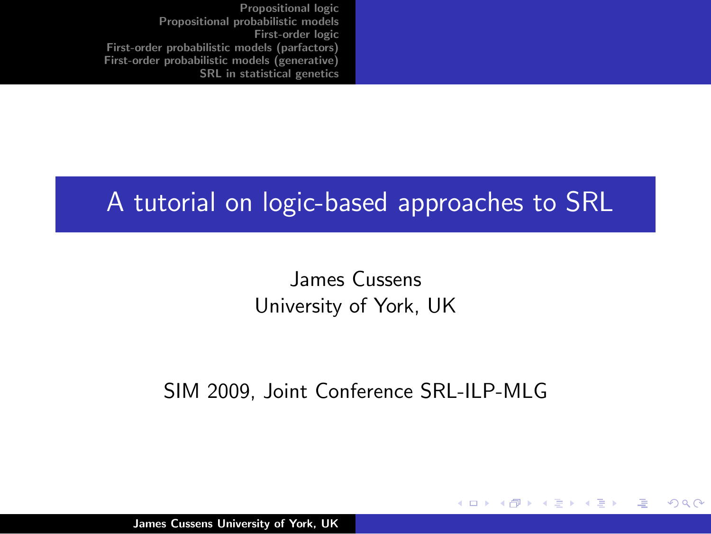#### A tutorial on logic-based approaches to SRL

James Cussens University of York, UK

#### SIM 2009, Joint Conference SRL-ILP-MLG

**∢ ロ ▶ : ⊀ 母 ▶ : ∢ ヨ ▶** 

- 4 店)

つくい

James Cussens University of York, UK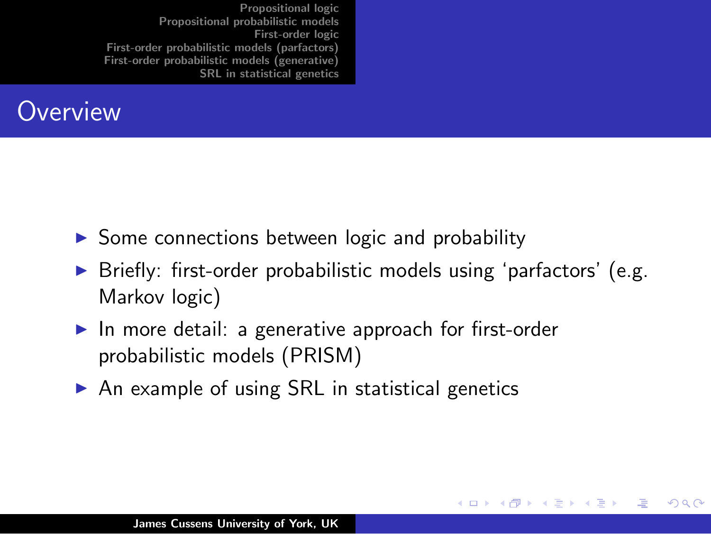

- $\triangleright$  Some connections between logic and probability
- $\triangleright$  Briefly: first-order probabilistic models using 'parfactors' (e.g. Markov logic)

メロメ メ御 メメ ミメ メミメ

つくい

- In more detail: a generative approach for first-order probabilistic models (PRISM)
- $\triangleright$  An example of using SRL in statistical genetics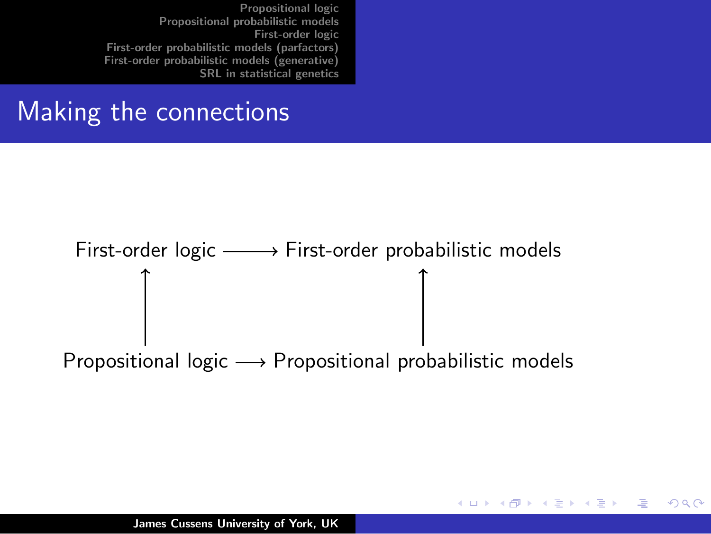#### Making the connections

# First-order logic  $\longrightarrow$  First-order probabilistic models

Propositional logic  $\longrightarrow$  Propositional probabilistic models

K ロ ⊁ K 倒 ≯ K ミ ⊁ K ミ ⊁

へのへ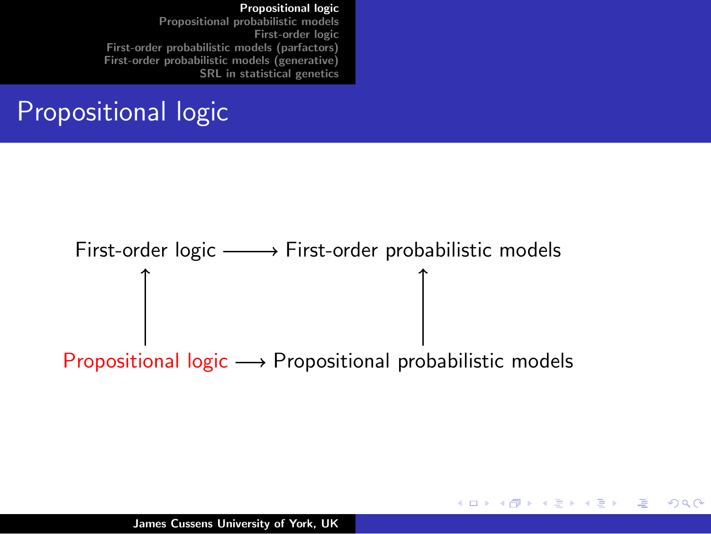#### [Propositional logic](#page-3-0)

[Propositional probabilistic models](#page-5-0) [First-order logic](#page-11-0) [First-order probabilistic models \(parfactors\)](#page-16-0) [First-order probabilistic models \(generative\)](#page-24-0) [SRL in statistical genetics](#page-45-0)

#### Propositional logic

# First-order logic  $\longrightarrow$  First-order probabilistic models Propositional logic  $\longrightarrow$  Propositional probabilistic models

メロメ メ御 メメ ミメ メミメー

<span id="page-3-0"></span> $\Omega$ 

James Cussens University of York, UK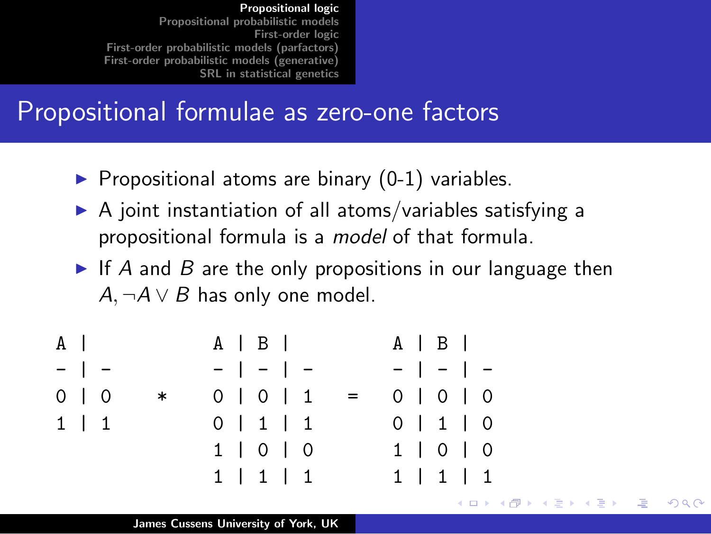#### Propositional formulae as zero-one factors

- $\blacktriangleright$  Propositional atoms are binary (0-1) variables.
- $\triangleright$  A joint instantiation of all atoms/variables satisfying a propositional formula is a model of that formula.
- If A and B are the only propositions in our language then  $A, \neg A \lor B$  has only one model.

K ロ ⊁ K 倒 ≯ K ミ ⊁ K ミ ⊁

つくい

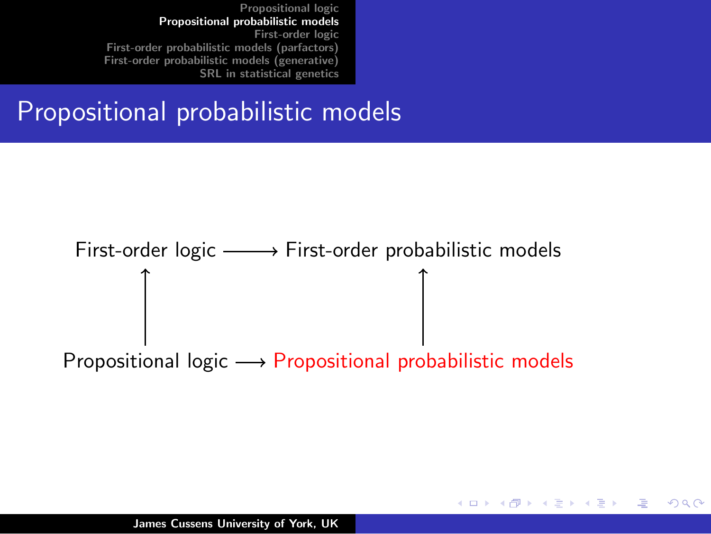#### Propositional probabilistic models

# First-order logic  $\longrightarrow$  First-order probabilistic models Propositional logic  $\longrightarrow$  Propositional probabilistic models

K ロ ⊁ K 倒 ≯ K ミ ⊁ K ミ ⊁

<span id="page-5-0"></span>へのへ

James Cussens University of York, UK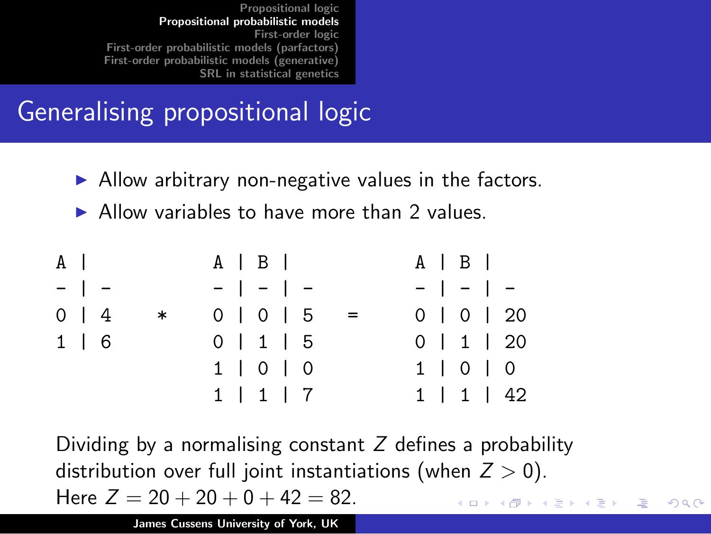#### Generalising propositional logic

- $\blacktriangleright$  Allow arbitrary non-negative values in the factors.
- $\triangleright$  Allow variables to have more than 2 values.

| $A \mid$   |  |        |  | $A \mid B \mid$   |  |  |  | $A \mid B \mid$ |                    |
|------------|--|--------|--|-------------------|--|--|--|-----------------|--------------------|
| $-$   $-$  |  |        |  | $-$   -   -       |  |  |  | $-$   -   -     |                    |
| $0 \mid 4$ |  | $\ast$ |  | $0 1 0 1 5$       |  |  |  |                 | 0   0   20         |
| $1 \mid 6$ |  |        |  | 0   1   5         |  |  |  |                 | $0$   1   20       |
|            |  |        |  | $1 \mid 0 \mid 0$ |  |  |  |                 | $1 \mid 0 \mid 0$  |
|            |  |        |  | 1   1   7         |  |  |  |                 | $1 \mid 1 \mid 42$ |

Dividing by a normalising constant  $Z$  defines a probability distribution over full joint instantiations (when  $Z > 0$ ). Here  $Z = 20 + 20 + 0 + 42 = 82$ . 

つくい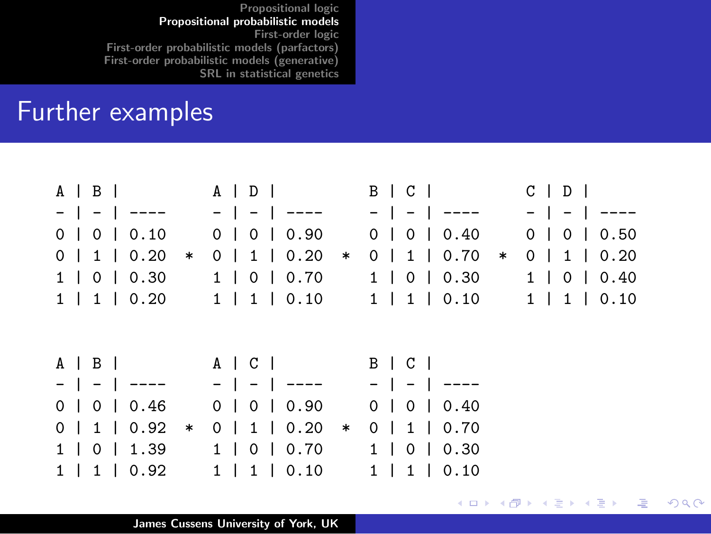#### Further examples

|                        |                                                 | $A \mid B \mid$ $A \mid D \mid$ $B \mid C \mid$ $C \mid D \mid$                     |                      |
|------------------------|-------------------------------------------------|-------------------------------------------------------------------------------------|----------------------|
|                        |                                                 |                                                                                     |                      |
| 0 0 0 0.10             |                                                 | 0   0   0.90 0   0   0.40 0   0   0.50                                              |                      |
| $0 \mid 1 \mid 0.20$ * | $0 \mid 1 \mid 0.20$ *                          | $0 \mid 1 \mid 0.70$ *                                                              | $0 \mid 1 \mid 0.20$ |
|                        |                                                 | $1   0   0.30$ $1   0   0.70$ $1   0   0.30$ $1   0   0.40$                         |                      |
|                        |                                                 | $1 \mid 1 \mid 0.20$ $1 \mid 1 \mid 0.10$ $1 \mid 1 \mid 0.10$ $1 \mid 1 \mid 0.10$ |                      |
|                        | $A \mid B \mid$ $A \mid C \mid$ $B \mid C \mid$ |                                                                                     |                      |
|                        | -   -   ----   -   ----   -   ----              |                                                                                     |                      |
| 0 1 0 1 0.46           |                                                 |                                                                                     |                      |
|                        | 0 1 0 1 0.90                                    | 0 1 0 1 0.40                                                                        |                      |
| $0 \mid 1 \mid 0.92$ * | $0 \mid 1 \mid 0.20$ *                          | $0 \mid 1 \mid 0.70$                                                                |                      |
|                        | $1   0   1.39 1   0   0.70 1   0   0.30$        |                                                                                     |                      |

メロメ メ都 メメ きょくきょう

佳

 $2Q$ 

James Cussens University of York, UK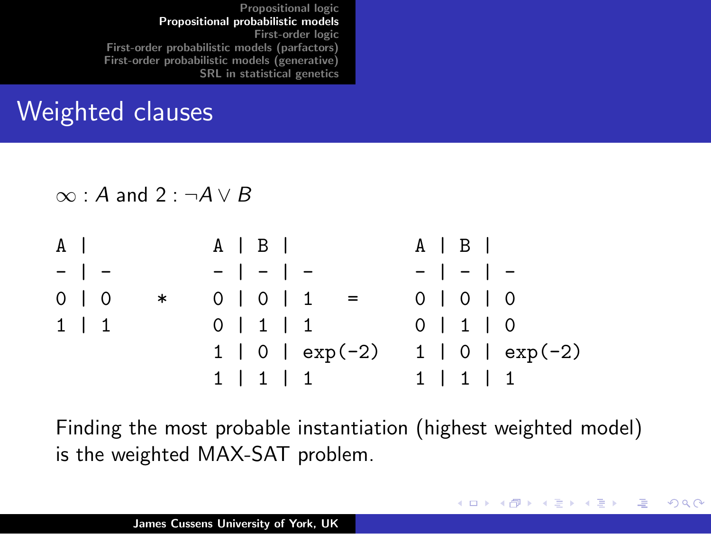#### Weighted clauses

 $\infty$  : A and 2 :  $\neg A \vee B$ 

| $A \mid$   |           |                   |  | $A \mid B \mid$ |                   | $A \mid B \mid$   |
|------------|-----------|-------------------|--|-----------------|-------------------|-------------------|
|            | $-$   $-$ |                   |  | $-$   -   -     |                   | $-$   -   -       |
| $0 \mid 0$ |           | $\ast$            |  | $0$   0   1     | $=$               | $0 0 0 0$         |
| $1 \mid 1$ |           | $0 \mid 1 \mid 1$ |  |                 |                   | 0 1 1 0           |
|            |           |                   |  |                 | $1   0   exp(-2)$ | $1   0   exp(-2)$ |
|            |           |                   |  |                 | 1   1   1         | 1   1   1         |

Finding the most probable instantiation (highest weighted model) is the weighted MAX-SAT problem.

K ロ ⊁ K 倒 ≯ K ミ ⊁ K ミ ⊁

 $2Q$ 

哇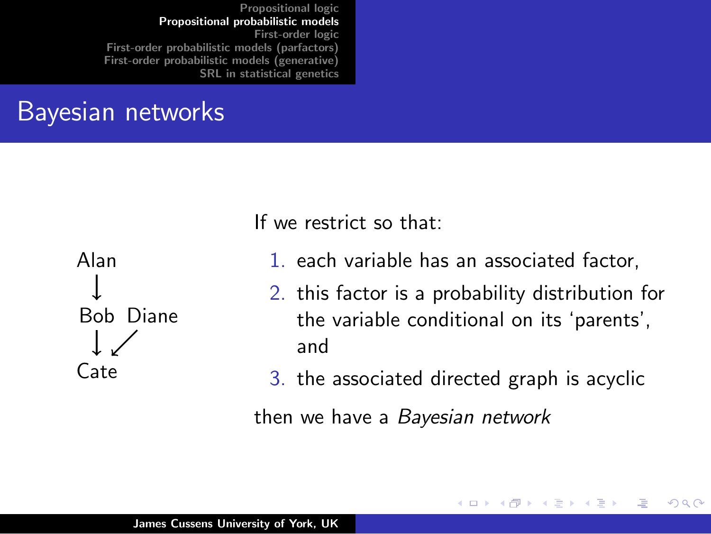#### Bayesian networks



If we restrict so that:

- 1. each variable has an associated factor,
- 2. this factor is a probability distribution for the variable conditional on its 'parents', and

**∢ ロ ▶ : ⊀ 母 ▶ : ∢ ヨ ▶** 

つくい

3. the associated directed graph is acyclic

then we have a Bayesian network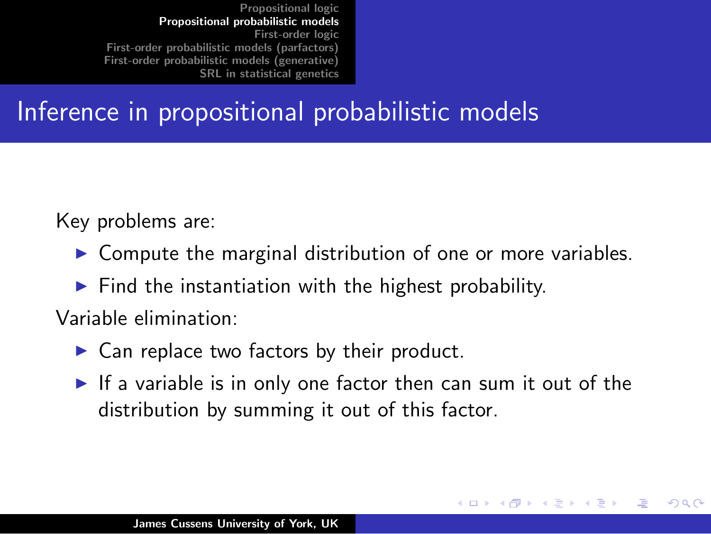#### Inference in propositional probabilistic models

Key problems are:

- $\triangleright$  Compute the marginal distribution of one or more variables.
- $\blacktriangleright$  Find the instantiation with the highest probability.

Variable elimination:

- $\triangleright$  Can replace two factors by their product.
- If a variable is in only one factor then can sum it out of the distribution by summing it out of this factor.

へのへ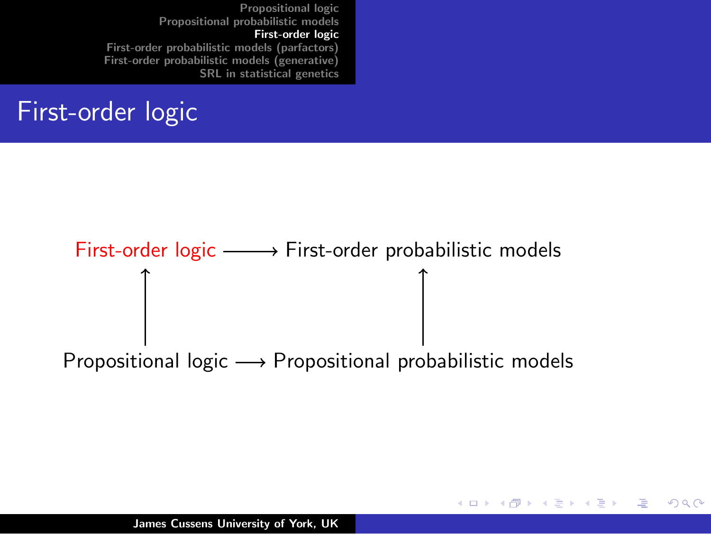#### First-order logic

## First-order logic  $\longrightarrow$  First-order probabilistic models Propositional logic  $\longrightarrow$  Propositional probabilistic models

メロメ メ御 メメ ミメ メミメー

<span id="page-11-0"></span> $\Omega$ 

James Cussens University of York, UK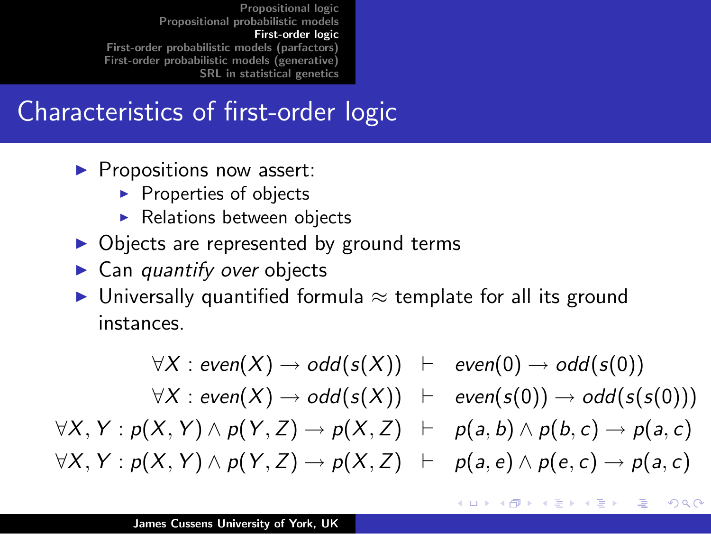#### Characteristics of first-order logic

- $\blacktriangleright$  Propositions now assert:
	- $\blacktriangleright$  Properties of objects
	- $\blacktriangleright$  Relations between objects
- $\triangleright$  Objects are represented by ground terms
- $\blacktriangleright$  Can quantify over objects
- $\triangleright$  Universally quantified formula  $\approx$  template for all its ground instances.

$$
\forall X : even(X) \rightarrow odd(s(X)) \vdash \text{ even}(0) \rightarrow odd(s(0))
$$
  

$$
\forall X : even(X) \rightarrow odd(s(X)) \vdash \text{ even}(s(0)) \rightarrow odd(s(s(0)))
$$
  

$$
\forall X, Y : p(X, Y) \land p(Y, Z) \rightarrow p(X, Z) \vdash p(a, b) \land p(b, c) \rightarrow p(a, c)
$$
  

$$
\forall X, Y : p(X, Y) \land p(Y, Z) \rightarrow p(X, Z) \vdash p(a, e) \land p(e, c) \rightarrow p(a, c)
$$

 $4.17 \times$ 

 $\leftarrow$   $\leftarrow$   $\leftarrow$ 

へのへ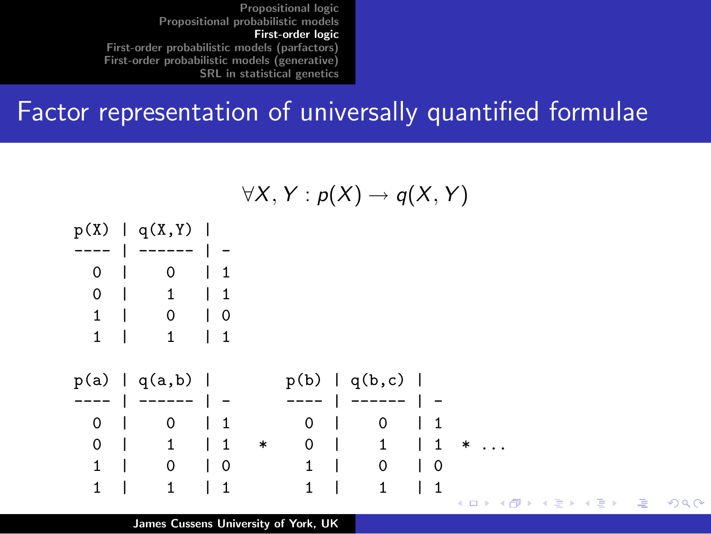#### Factor representation of universally quantified formulae



James Cussens University of York, UK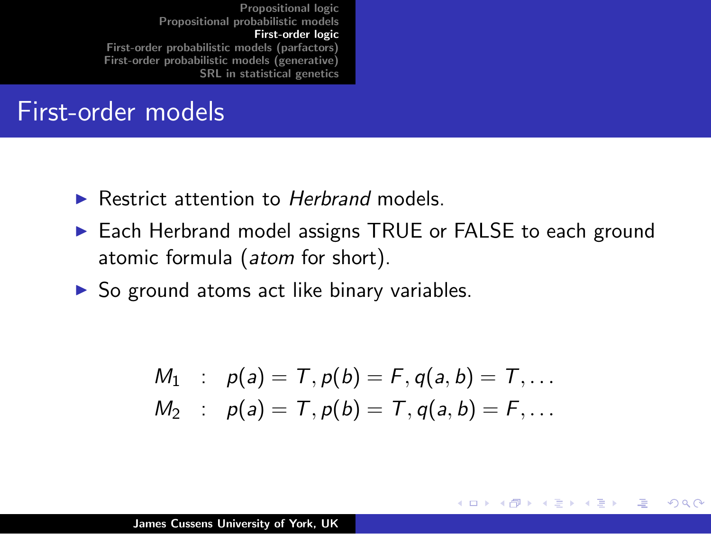#### First-order models

- $\blacktriangleright$  Restrict attention to Herbrand models.
- ► Each Herbrand model assigns TRUE or FALSE to each ground atomic formula (atom for short).
- $\triangleright$  So ground atoms act like binary variables.

$$
M_1 : p(a) = T, p(b) = F, q(a, b) = T, ...
$$
  

$$
M_2 : p(a) = T, p(b) = T, q(a, b) = F, ...
$$

**∢ ロ ▶ : ⊀ 母 ▶ : ∢ ヨ ▶** 

つくい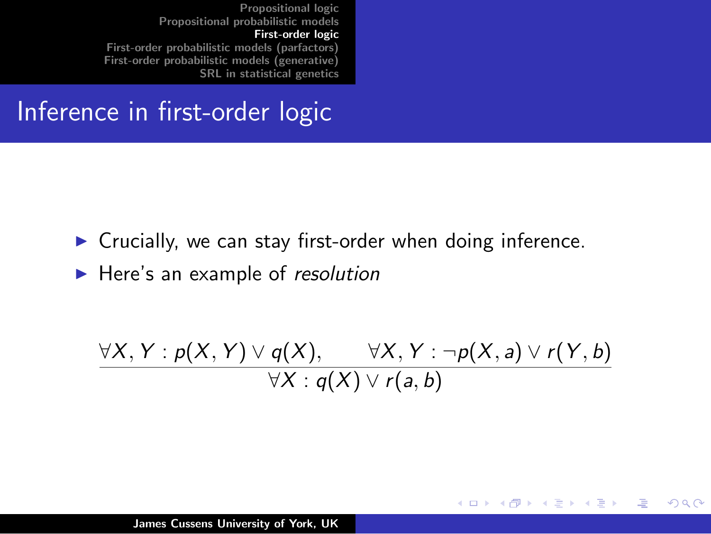#### Inference in first-order logic

- $\triangleright$  Crucially, we can stay first-order when doing inference.
- $\blacktriangleright$  Here's an example of resolution

$$
\frac{\forall X,Y: p(X,Y) \vee q(X), \qquad \forall X,Y: \neg p(X,a) \vee r(Y,b)}{\forall X: q(X) \vee r(a,b)}
$$

K ロ ⊁ K 倒 ≯ K ミ ⊁ K ミ ⊁

哇

 $2Q$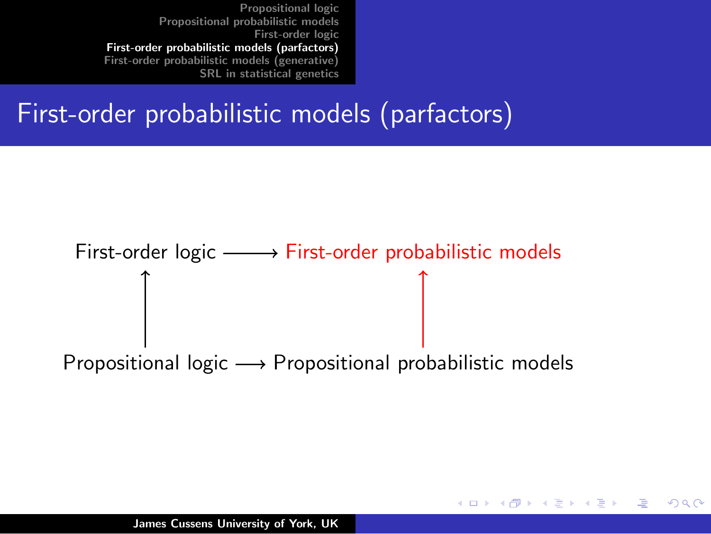#### First-order probabilistic models (parfactors)



K ロ ⊁ K 倒 ≯ K ミ ⊁ K ミ ⊁

<span id="page-16-0"></span>へのへ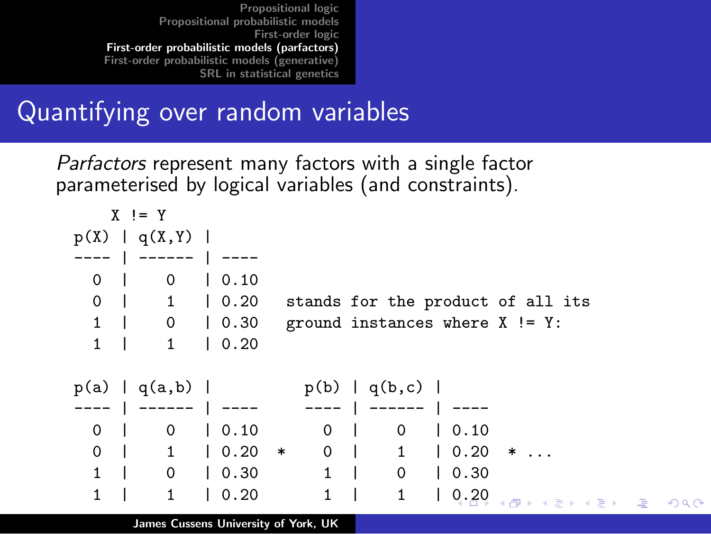#### Quantifying over random variables

Parfactors represent many factors with a single factor parameterised by logical variables (and constraints).

| $X = Y$                        |                                                                                           |  |
|--------------------------------|-------------------------------------------------------------------------------------------|--|
| p(X)   q(X, Y)                 |                                                                                           |  |
| ------   ----                  |                                                                                           |  |
| $\mathsf{O}$<br>0 <sub>1</sub> | $\vert 0.10$                                                                              |  |
| $0 \mid$                       | 1 0.20<br>stands for the product of all its                                               |  |
| $1 \quad  $                    | $0 \quad 0.30$<br>ground instances where $X := Y$ :                                       |  |
| $1 \quad$<br>$\mathbf{1}$      | 10.20                                                                                     |  |
|                                |                                                                                           |  |
|                                | $p(a)   q(a,b)  $ $p(b)   q(b,c)  $                                                       |  |
|                                | ----   ------   ----     ----   ------   ----                                             |  |
| 0                              | $0 \mid 0.10$<br>$\begin{array}{ccc} & & 0 & \end{array}$<br>$\mathbf{0}$<br>$\vert 0.10$ |  |
| $\Omega$<br>$\Box$             | $0 \mid$<br>$1 \t 0.20$<br>$1 \quad 0.20$<br>$\ast$<br>$*$                                |  |
| $1 \quad  $                    | $1 \mid 0 \mid 0.30$<br>$0 \mid 0.30$                                                     |  |
|                                |                                                                                           |  |
| 1<br>$\mathbf{1}$              | $\mathbf{1}$<br>$\vert 0.20 \vert$<br>$\mathbf{1}$<br>0.20<br>メ何 トメミメメミメーミー め             |  |

 $Q$  $Q$ 

James Cussens University of York, UK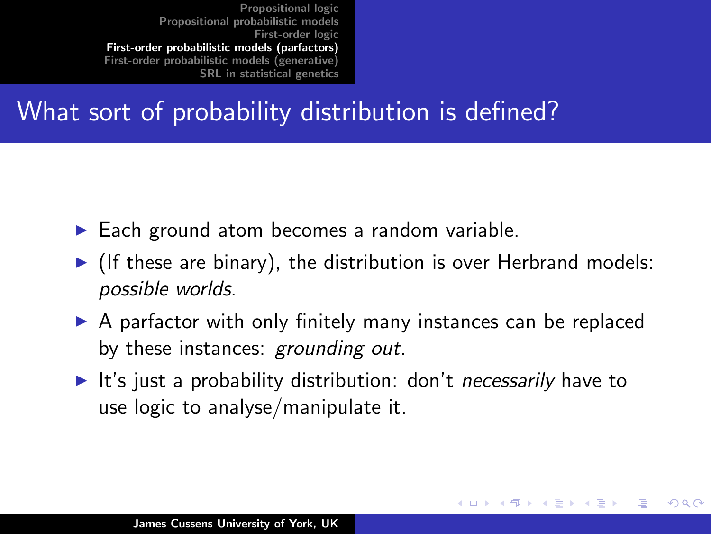#### What sort of probability distribution is defined?

- $\blacktriangleright$  Each ground atom becomes a random variable.
- If these are binary), the distribution is over Herbrand models: possible worlds.
- $\triangleright$  A parfactor with only finitely many instances can be replaced by these instances: grounding out.
- It's just a probability distribution: don't *necessarily* have to use logic to analyse/manipulate it.

- 4 周 ) 4 三

<span id="page-18-0"></span>へのへ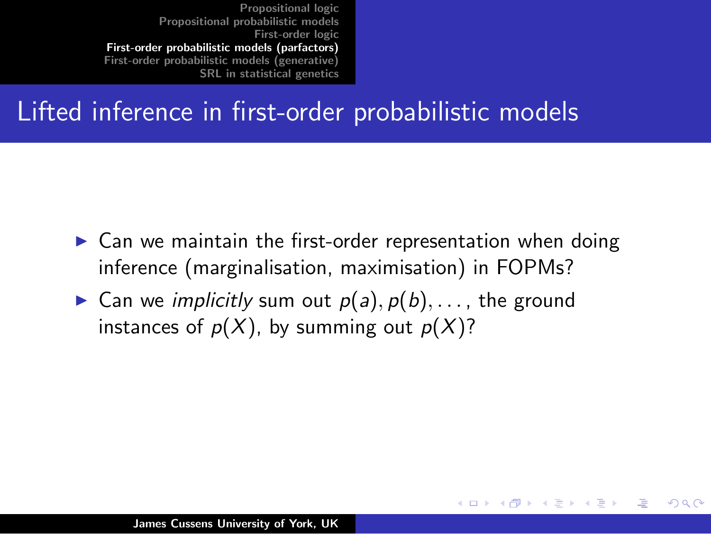#### Lifted inference in first-order probabilistic models

 $\triangleright$  Can we maintain the first-order representation when doing inference (marginalisation, maximisation) in FOPMs?

メロメ メ団 メメミメメ ミメ

へのへ

**Can we implicitly sum out**  $p(a), p(b), \ldots$ **, the ground** instances of  $p(X)$ , by summing out  $p(X)$ ?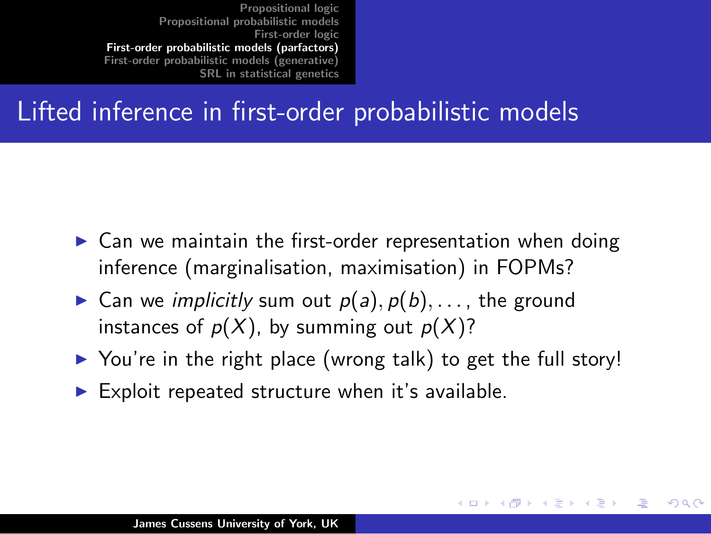#### Lifted inference in first-order probabilistic models

- $\triangleright$  Can we maintain the first-order representation when doing inference (marginalisation, maximisation) in FOPMs?
- **Can we implicitly sum out**  $p(a), p(b), \ldots$ **, the ground** instances of  $p(X)$ , by summing out  $p(X)$ ?
- $\triangleright$  You're in the right place (wrong talk) to get the full story!

イロト イ団 トラ ミッシュライ

へのへ

 $\blacktriangleright$  Exploit repeated structure when it's available.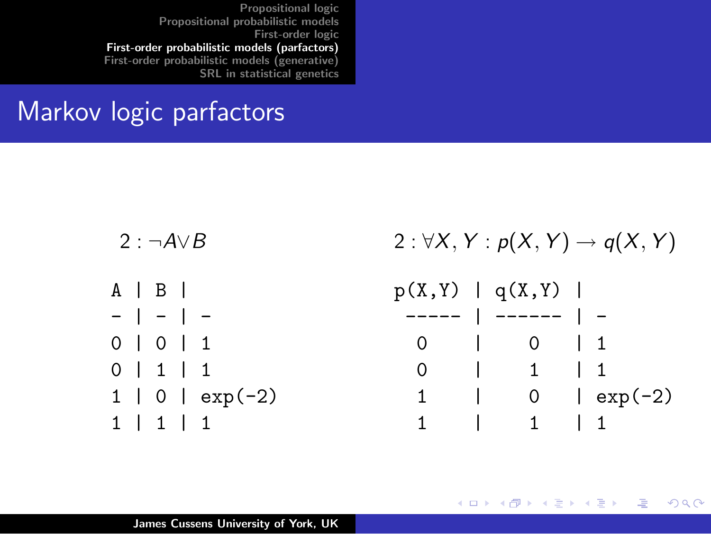#### Markov logic parfactors

| 2 : $\neg A \vee B$ | $2: \forall X, Y: p(X, Y) \rightarrow q(X, Y)$ |  |  |  |  |  |
|---------------------|------------------------------------------------|--|--|--|--|--|
| $A \mid B \mid$     | p(X, Y)   q(X, Y)                              |  |  |  |  |  |
| $-$   -   -         | $--- -   --- -   -$                            |  |  |  |  |  |
| $0$   0   1         | $0 \quad 0 \quad 1$                            |  |  |  |  |  |
| 0   1   1           | 0 1 1 1                                        |  |  |  |  |  |
| $1   0   exp(-2)$   | 1   0   $exp(-2)$                              |  |  |  |  |  |
| 1   1   1           | $1 \quad 1$<br>$1 \quad \Box$                  |  |  |  |  |  |

メロトメ団 トメミトメミト

哇

 $2Q$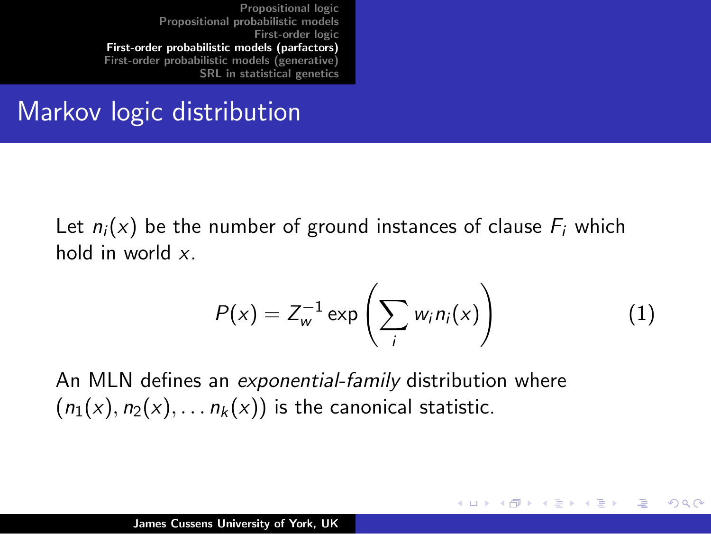#### Markov logic distribution

Let  $n_i(x)$  be the number of ground instances of clause  $F_i$  which hold in world x.

$$
P(x) = Z_w^{-1} \exp\left(\sum_i w_i n_i(x)\right) \tag{1}
$$

K ロ ⊁ K 倒 ≯ K ミ ⊁ K ミ ⊁

つくい

An MLN defines an exponential-family distribution where  $(n_1(x), n_2(x), \ldots, n_k(x))$  is the canonical statistic.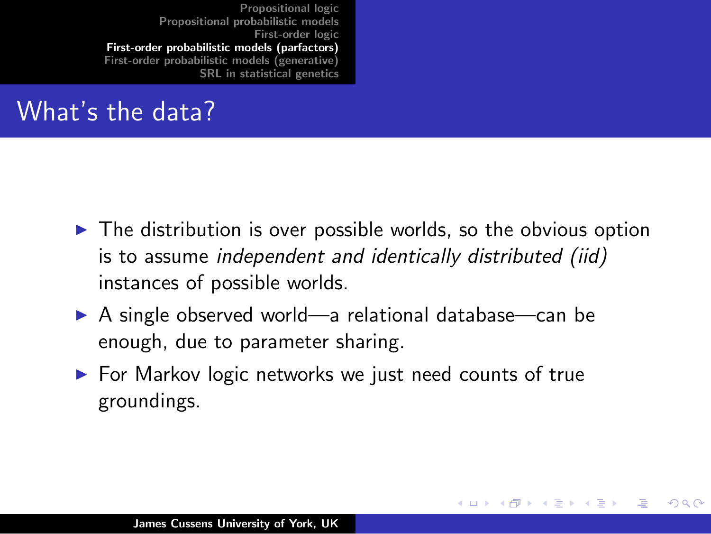#### What's the data?

 $\triangleright$  The distribution is over possible worlds, so the obvious option is to assume independent and identically distributed (iid) instances of possible worlds.

メロメ メ団 メメミメメ ミメ

つくい

- $\triangleright$  A single observed world—a relational database—can be enough, due to parameter sharing.
- $\triangleright$  For Markov logic networks we just need counts of true groundings.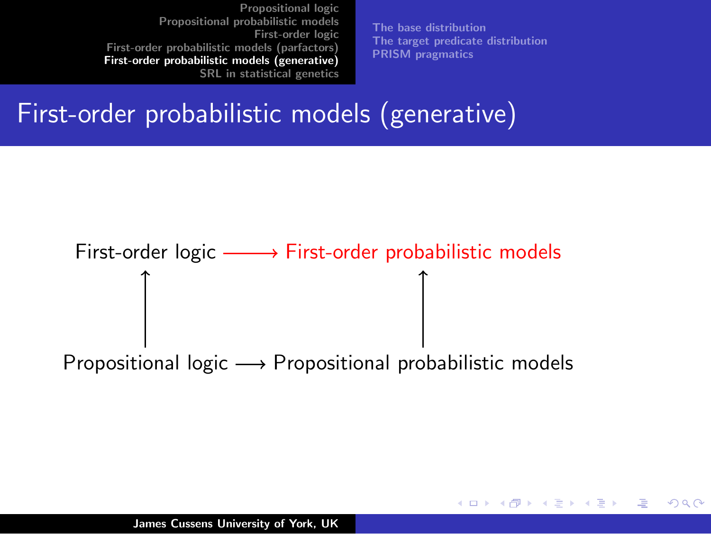[The base distribution](#page-27-0) [The target predicate distribution](#page-30-0) [PRISM pragmatics](#page-32-0)

メロメ メ御 メメ ミメ メミメー

<span id="page-24-0"></span>へのへ

#### First-order probabilistic models (generative)

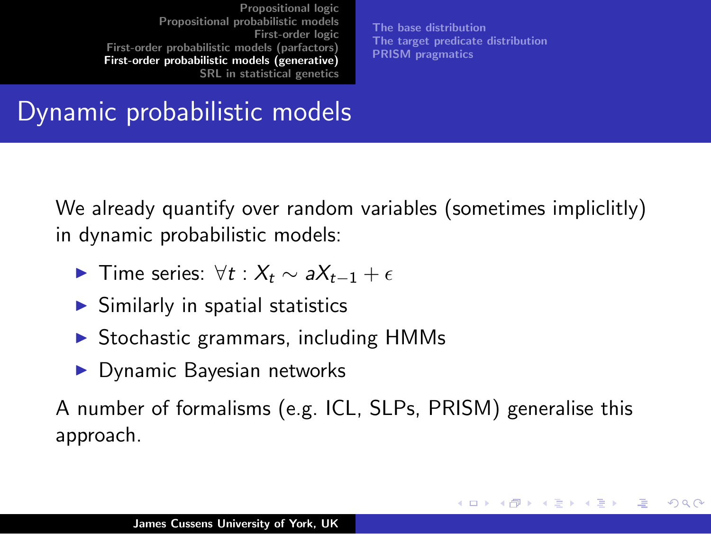[The base distribution](#page-27-0) [The target predicate distribution](#page-30-0) [PRISM pragmatics](#page-32-0)

K ロ ⊁ K 倒 ≯ K ミ ⊁ K ミ ⊁

へのへ

#### Dynamic probabilistic models

We already quantify over random variables (sometimes impliclitly) in dynamic probabilistic models:

- **F** Time series:  $\forall t : X_t \sim aX_{t-1} + \epsilon$
- $\blacktriangleright$  Similarly in spatial statistics
- $\triangleright$  Stochastic grammars, including HMMs
- $\blacktriangleright$  Dynamic Bayesian networks

A number of formalisms (e.g. ICL, SLPs, PRISM) generalise this approach.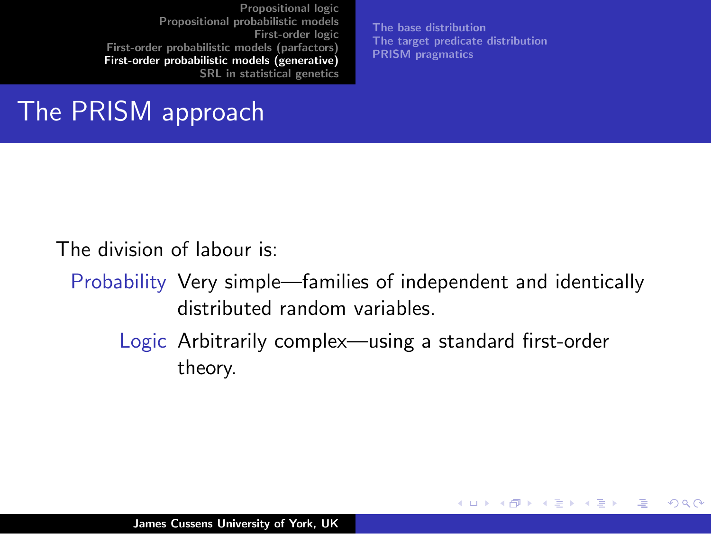[The base distribution](#page-27-0) [The target predicate distribution](#page-30-0) [PRISM pragmatics](#page-32-0)

 $2Q$ 

メロメ メ団 メメミメメ ミメ

#### The PRISM approach

The division of labour is:

- Probability Very simple—families of independent and identically distributed random variables.
	- Logic Arbitrarily complex—using a standard first-order theory.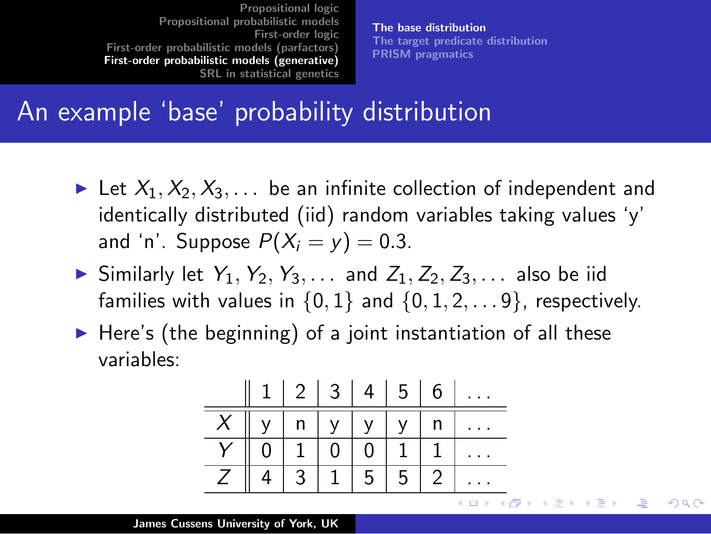[The base distribution](#page-27-0) [The target predicate distribution](#page-30-0) [PRISM pragmatics](#page-32-0)

∢ 重う

<span id="page-27-0"></span> $\Omega$ 

#### An example 'base' probability distribution

- In Let  $X_1, X_2, X_3, \ldots$  be an infinite collection of independent and identically distributed (iid) random variables taking values 'y' and 'n'. Suppose  $P(X_i = y) = 0.3$ .
- $\triangleright$  Similarly let  $Y_1, Y_2, Y_3, \ldots$  and  $Z_1, Z_2, Z_3, \ldots$  also be iid families with values in  $\{0, 1\}$  and  $\{0, 1, 2, \ldots 9\}$ , respectively.
- $\blacktriangleright$  Here's (the beginning) of a joint instantiation of all these variables:

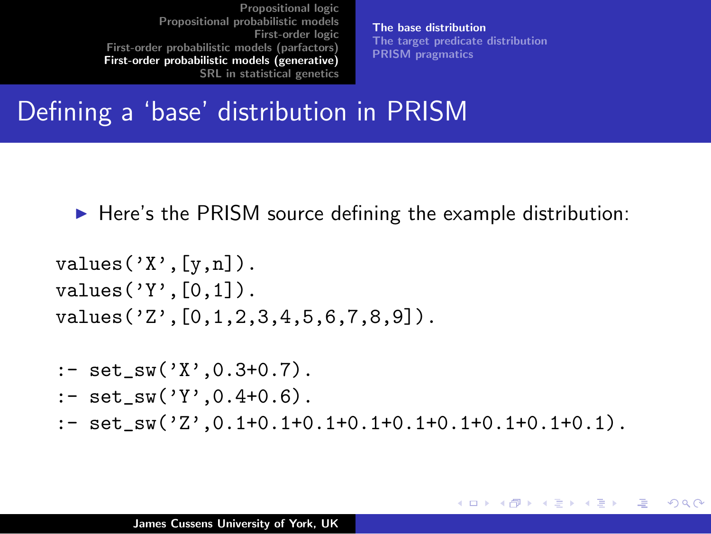[The base distribution](#page-27-0) [The target predicate distribution](#page-30-0) [PRISM pragmatics](#page-32-0)

メロト メ母 トメ ミトメ ミトー

つくい

#### Defining a 'base' distribution in PRISM

 $\blacktriangleright$  Here's the PRISM source defining the example distribution:

```
values('X', [y,n]).
values('Y', [0,1]).
values('Z',[0,1,2,3,4,5,6,7,8,9]).
:- set sw('X'.0.3+0.7).
:- set sw('Y',0.4+0.6).
:- set_sw('Z',0.1+0.1+0.1+0.1+0.1+0.1+0.1+0.1+0.1).
```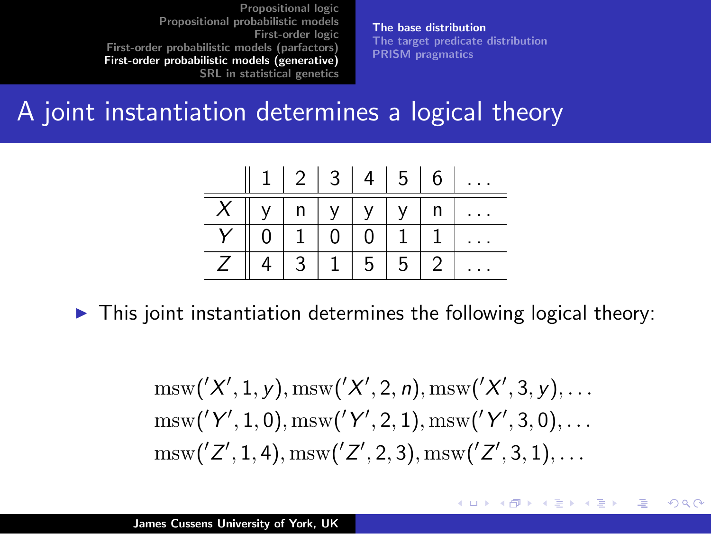[The base distribution](#page-27-0) [The target predicate distribution](#page-30-0) [PRISM pragmatics](#page-32-0)

K ロ ⊁ K 倒 ≯ K ミ ⊁ K ミ ⊁

 $2Q$ 

哇

#### A joint instantiation determines a logical theory



 $\triangleright$  This joint instantiation determines the following logical theory:

$$
\frac{\text{msw}('X', 1, y), \text{msw}('X', 2, n), \text{msw}('X', 3, y), \dots}{\text{msw}('Y', 1, 0), \text{msw}('Y', 2, 1), \text{msw}('Y', 3, 0), \dots}
$$

$$
\frac{\text{msw}('Z', 1, 4), \text{msw}('Z', 2, 3), \text{msw}('Z', 3, 1), \dots}{\text{msw}('Z', 1, 4), \text{msw}('Z', 2, 3), \text{msw}('Z', 3, 1), \dots}
$$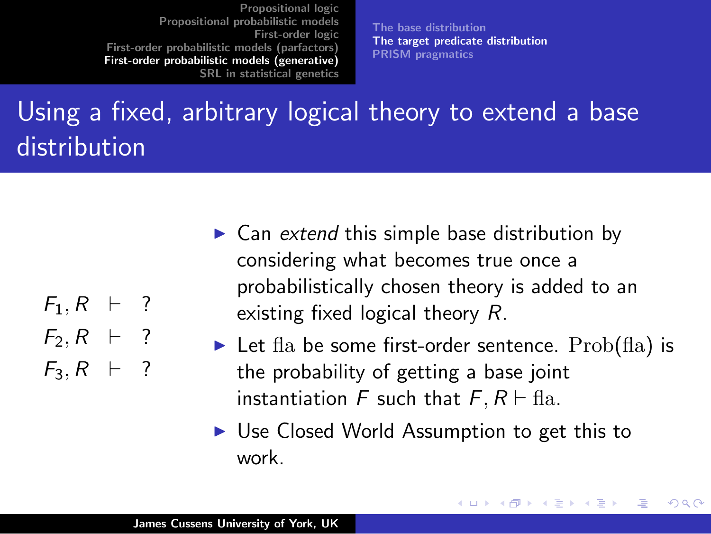[The base distribution](#page-27-0) [The target predicate distribution](#page-30-0) [PRISM pragmatics](#page-32-0)

### Using a fixed, arbitrary logical theory to extend a base distribution

- $F_1, R + ?$  $F_2, R + ?$
- $F_3$ ,  $R + ?$
- $\triangleright$  Can extend this simple base distribution by considering what becomes true once a probabilistically chosen theory is added to an existing fixed logical theory R.
- lacktriangleright Let fla be some first-order sentence. Prob(fla) is the probability of getting a base joint instantiation F such that  $F, R \vdash \text{fla}.$

K ロ ⊁ K 倒 ≯ K ミ ⊁ K ミ ⊁

<span id="page-30-0"></span>へのへ

 $\triangleright$  Use Closed World Assumption to get this to work.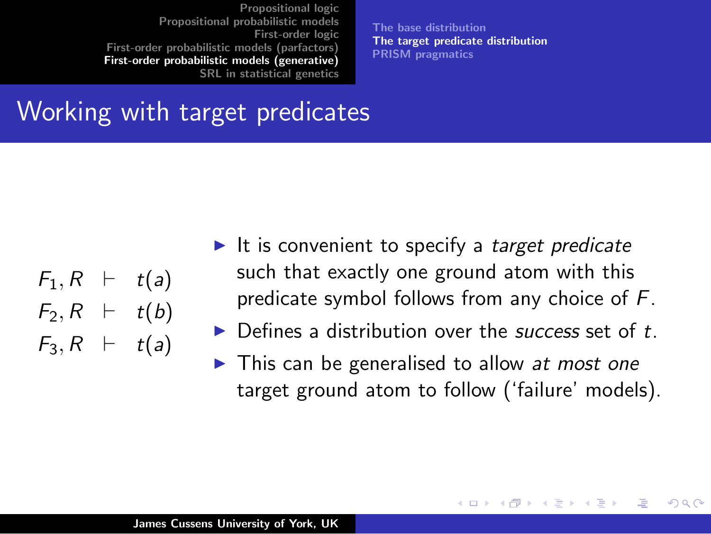[The base distribution](#page-27-0) [The target predicate distribution](#page-30-0) [PRISM pragmatics](#page-32-0)

#### Working with target predicates

| $\mathsf{F}_1,\mathsf{R}$ | ⊢ | t(a) |
|---------------------------|---|------|
| $F_2, R$                  | ⊢ | t(b) |
| $F_3, R$                  | ⊢ | t(a) |

- It is convenient to specify a target predicate such that exactly one ground atom with this predicate symbol follows from any choice of F.
- $\triangleright$  Defines a distribution over the *success* set of t.
- $\blacktriangleright$  This can be generalised to allow at most one target ground atom to follow ('failure' models).

 $\left\{ \begin{array}{ccc} 1 & 0 & 0 \\ 0 & 1 & 0 \end{array} \right\}$  ,  $\left\{ \begin{array}{ccc} 0 & 0 & 0 \\ 0 & 0 & 0 \end{array} \right\}$ 

へのへ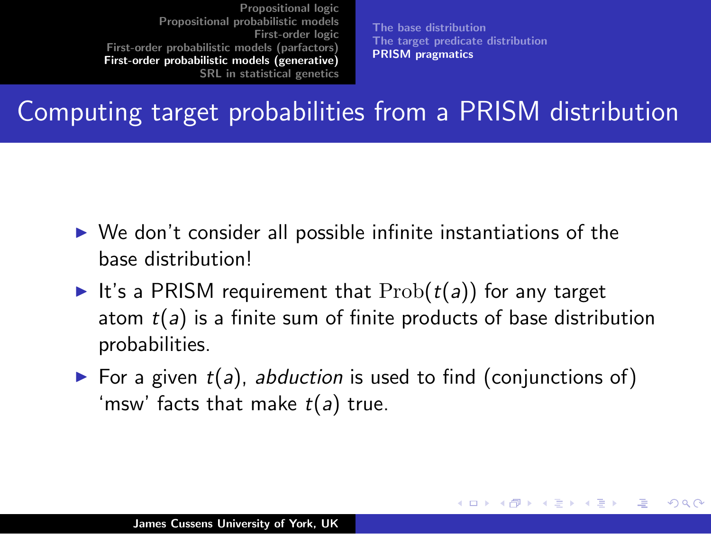[The base distribution](#page-27-0) [The target predicate distribution](#page-30-0) [PRISM pragmatics](#page-32-0)

 $\left\{ \begin{array}{ccc} 1 & 0 & 0 \\ 0 & 1 & 0 \end{array} \right\}$  ,  $\left\{ \begin{array}{ccc} 0 & 0 & 0 \\ 0 & 0 & 0 \end{array} \right\}$ 

<span id="page-32-0"></span>へのへ

#### Computing target probabilities from a PRISM distribution

- $\triangleright$  We don't consider all possible infinite instantiations of the base distribution!
- It's a PRISM requirement that  $Prob(t(a))$  for any target atom  $t(a)$  is a finite sum of finite products of base distribution probabilities.
- $\triangleright$  For a given  $t(a)$ , abduction is used to find (conjunctions of) 'msw' facts that make  $t(a)$  true.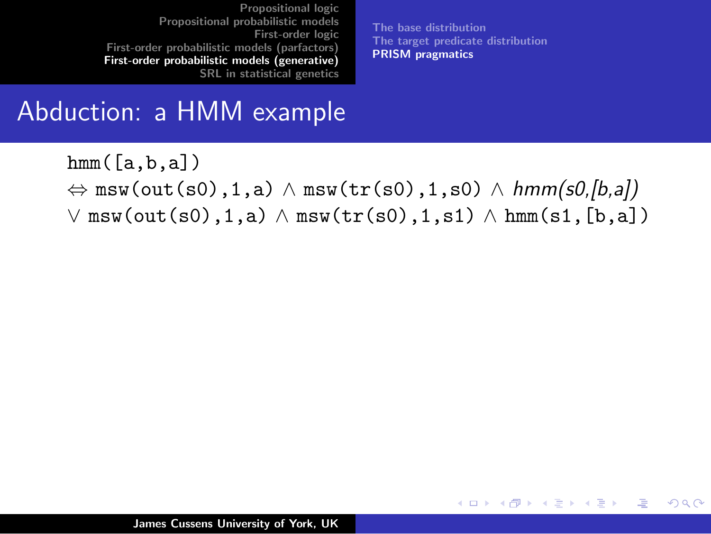[The base distribution](#page-27-0) [The target predicate distribution](#page-30-0) [PRISM pragmatics](#page-32-0)

 $2Q$ 

哇

メロメ メ母メ メミメメミメ

#### Abduction: a HMM example

 $hmm([a,b,a])$  $\Leftrightarrow$  msw(out(s0),1,a)  $\land$  msw(tr(s0),1,s0)  $\land$  hmm(s0,[b,a])  $\lor$  msw(out(s0),1,a)  $\land$  msw(tr(s0),1,s1)  $\land$  hmm(s1,[b,a])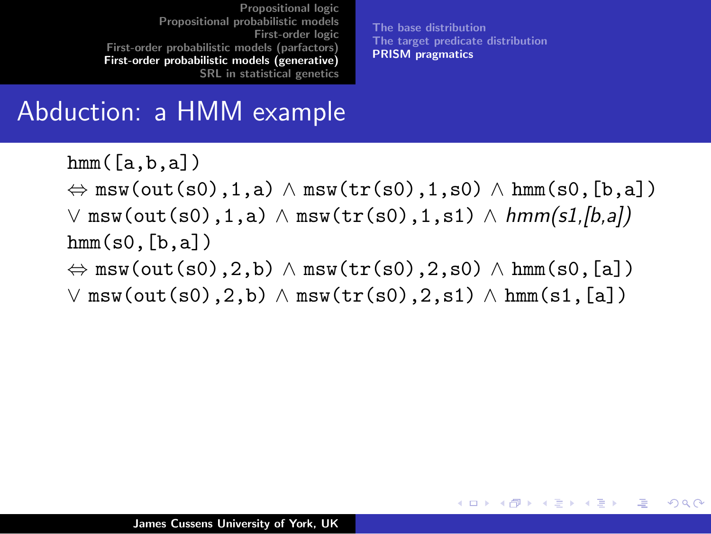[The base distribution](#page-27-0) [The target predicate distribution](#page-30-0) [PRISM pragmatics](#page-32-0)

すロチ す母 ト すき ト すき トー

つくい

#### Abduction: a HMM example

 $hmm([a,b,a])$  $\Leftrightarrow$  msw(out(s0),1,a)  $\land$  msw(tr(s0),1,s0)  $\land$  hmm(s0,[b,a])  $\vee$  msw(out(s0),1,a)  $\wedge$  msw(tr(s0),1,s1)  $\wedge$  hmm(s1,[b,a])  $hmm(s0,[b,a])$  $\Leftrightarrow$  msw(out(s0),2,b)  $\land$  msw(tr(s0),2,s0)  $\land$  hmm(s0,[a])  $\lor$  msw(out(s0),2,b)  $\land$  msw(tr(s0),2,s1)  $\land$  hmm(s1,[a])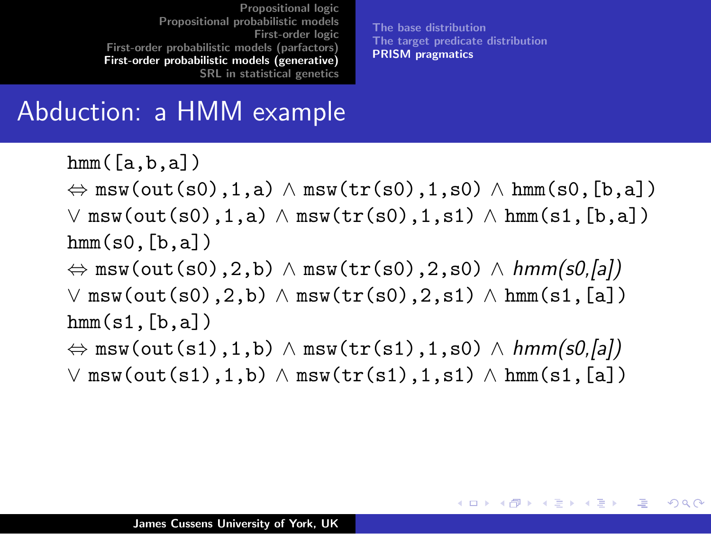[The base distribution](#page-27-0) [The target predicate distribution](#page-30-0) [PRISM pragmatics](#page-32-0)

メロメ メ御き メミメ メミメー

哇

つくい

#### Abduction: a HMM example

 $hmm([a,b,a])$  $\Leftrightarrow$  msw(out(s0),1,a)  $\land$  msw(tr(s0),1,s0)  $\land$  hmm(s0,[b,a])  $\vee$  msw(out(s0),1,a)  $\wedge$  msw(tr(s0),1,s1)  $\wedge$  hmm(s1,[b,a])  $hmm(s0,[b,a])$  $\Leftrightarrow$  msw(out(s0),2,b)  $\land$  msw(tr(s0),2,s0)  $\land$  hmm(s0,[a])  $\vee$  msw(out(s0),2,b)  $\wedge$  msw(tr(s0),2,s1)  $\wedge$  hmm(s1,[a])  $hmm(s1,[b,a])$  $\Leftrightarrow$  msw(out(s1),1,b)  $\land$  msw(tr(s1),1,s0)  $\land$  hmm(s0,[a])  $\vee$  msw(out(s1),1,b)  $\wedge$  msw(tr(s1),1,s1)  $\wedge$  hmm(s1,[a])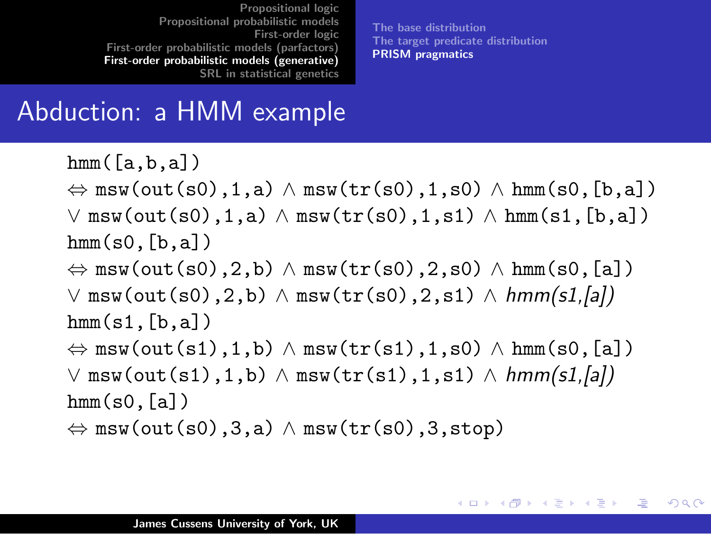[The base distribution](#page-27-0) [The target predicate distribution](#page-30-0) [PRISM pragmatics](#page-32-0)

K ロ ▶ K 御 ▶ K 君 ▶ K 君 ▶ ...

造

つくい

#### Abduction: a HMM example

 $hmm([a,b,a])$  $\Leftrightarrow$  msw(out(s0),1,a)  $\land$  msw(tr(s0),1,s0)  $\land$  hmm(s0,[b,a])  $\vee$  msw(out(s0),1,a)  $\wedge$  msw(tr(s0),1,s1)  $\wedge$  hmm(s1,[b,a])  $hmm(s0,[b,a])$  $\Leftrightarrow$  msw(out(s0),2,b)  $\land$  msw(tr(s0),2,s0)  $\land$  hmm(s0,[a])  $\vee$  msw(out(s0),2,b)  $\wedge$  msw(tr(s0),2,s1)  $\wedge$  hmm(s1,[a])  $hmm(s1,[b,a])$  $\Leftrightarrow$  msw(out(s1),1,b)  $\land$  msw(tr(s1),1,s0)  $\land$  hmm(s0,[a])  $\vee$  msw(out(s1),1,b)  $\wedge$  msw(tr(s1),1,s1)  $\wedge$  hmm(s1,[a])  $hmm(s0,[a])$  $\Leftrightarrow$  msw(out(s0),3,a)  $\land$  msw(tr(s0),3,stop)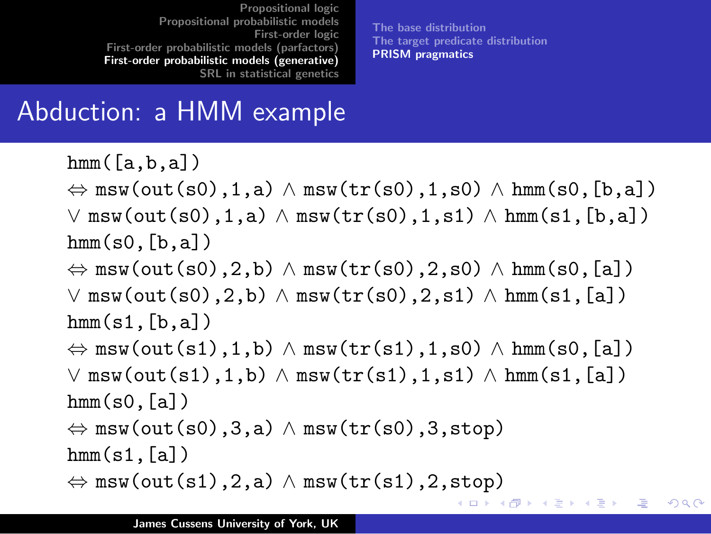[The base distribution](#page-27-0) [The target predicate distribution](#page-30-0) [PRISM pragmatics](#page-32-0)

#### Abduction: a HMM example

 $hmm([a,b,a])$  $\Leftrightarrow$  msw(out(s0),1,a)  $\land$  msw(tr(s0),1,s0)  $\land$  hmm(s0,[b,a])  $\vee$  msw(out(s0),1,a)  $\wedge$  msw(tr(s0),1,s1)  $\wedge$  hmm(s1,[b,a])  $hmm(s0,[b,a])$  $\Leftrightarrow$  msw(out(s0),2,b)  $\land$  msw(tr(s0),2,s0)  $\land$  hmm(s0,[a])  $\vee$  msw(out(s0),2,b)  $\wedge$  msw(tr(s0),2,s1)  $\wedge$  hmm(s1,[a])  $hmm(s1,[b,a])$  $\Leftrightarrow$  msw(out(s1),1,b)  $\land$  msw(tr(s1),1,s0)  $\land$  hmm(s0,[a])  $\vee$  msw(out(s1),1,b)  $\wedge$  msw(tr(s1),1,s1)  $\wedge$  hmm(s1,[a])  $hmm(s0,[a])$  $\Leftrightarrow$  msw(out(s0),3,a)  $\land$  msw(tr(s0),3,stop)  $hmm(s1,[a])$  $\Leftrightarrow$  msw(out(s1),2,a)  $\land$  msw(tr(s1),2,stop) → 伊 ▶ → 君 ▶ → 君 ▶ → 注  $-10<sup>-1</sup>$ つくい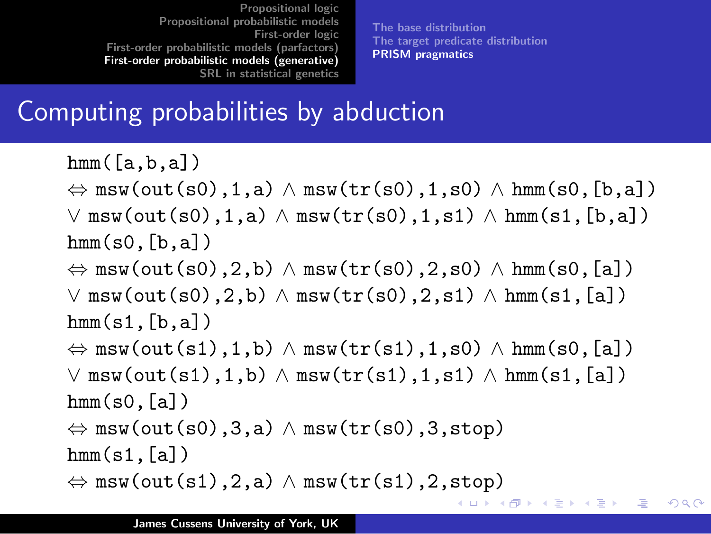[The base distribution](#page-27-0) [The target predicate distribution](#page-30-0) [PRISM pragmatics](#page-32-0)

つくい

#### Computing probabilities by abduction

 $hmm([a,b,a])$  $\Leftrightarrow$  msw(out(s0),1,a)  $\land$  msw(tr(s0),1,s0)  $\land$  hmm(s0,[b,a])  $\vee$  msw(out(s0),1,a)  $\wedge$  msw(tr(s0),1,s1)  $\wedge$  hmm(s1,[b,a])  $hmm(s0,[b,a])$  $\Leftrightarrow$  msw(out(s0),2,b)  $\land$  msw(tr(s0),2,s0)  $\land$  hmm(s0,[a])  $\vee$  msw(out(s0),2,b)  $\wedge$  msw(tr(s0),2,s1)  $\wedge$  hmm(s1,[a])  $hmm(s1,[b,a])$  $\Leftrightarrow$  msw(out(s1),1,b)  $\land$  msw(tr(s1),1,s0)  $\land$  hmm(s0,[a])  $\vee$  msw(out(s1),1,b)  $\wedge$  msw(tr(s1),1,s1)  $\wedge$  hmm(s1,[a])  $hmm(s0,[a])$  $\Leftrightarrow$  msw(out(s0),3,a)  $\land$  msw(tr(s0),3,stop)  $hmm(s1,[a])$  $\Leftrightarrow$  msw(out(s1),2,a)  $\land$  msw(tr(s1),2,stop) → 伊 ▶ → 君 ▶ → 君 ▶ → 注  $-10<sup>-1</sup>$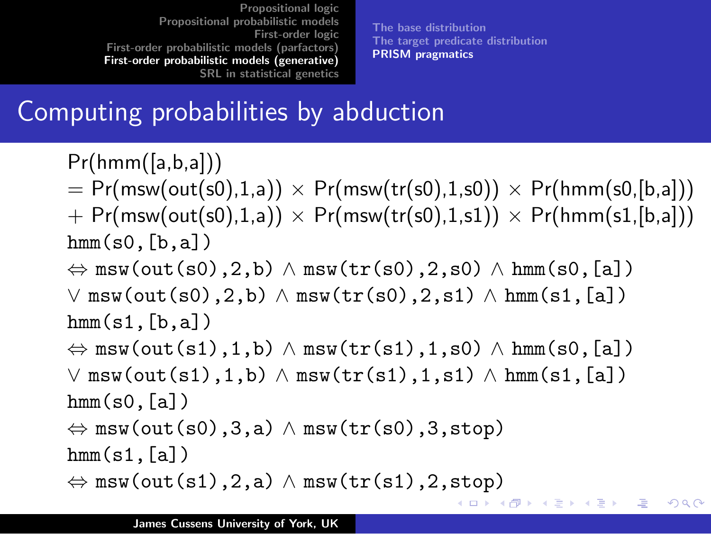[The base distribution](#page-27-0) [The target predicate distribution](#page-30-0) [PRISM pragmatics](#page-32-0)

#### Computing probabilities by abduction

 $Pr(hmm([a,b,a]))$  $= Pr(msw(out(s0),1,a)) \times Pr(msw(tr(s0),1,s0)) \times Pr(hmm(s0,[b,a]))$  $+$  Pr(msw(out(s0),1,a))  $\times$  Pr(msw(tr(s0),1,s1))  $\times$  Pr(hmm(s1,[b,a]))  $hmm(s0,[b,a])$  $\Leftrightarrow$  msw(out(s0),2,b)  $\land$  msw(tr(s0),2,s0)  $\land$  hmm(s0,[a])  $\vee$  msw(out(s0),2,b)  $\wedge$  msw(tr(s0),2,s1)  $\wedge$  hmm(s1,[a])  $hmm(s1,[b,a])$  $\Leftrightarrow$  msw(out(s1),1,b)  $\land$  msw(tr(s1),1,s0)  $\land$  hmm(s0,[a])  $\vee$  msw(out(s1),1,b)  $\wedge$  msw(tr(s1),1,s1)  $\wedge$  hmm(s1,[a])  $hmm(s0,[a])$  $\Leftrightarrow$  msw(out(s0),3,a)  $\land$  msw(tr(s0),3,stop)  $hmm(s1,[a])$  $\Leftrightarrow$  msw(out(s1),2,a)  $\land$  msw(tr(s1),2,stop) メ御 ドメ 君 ドメ 君 ドッ 注  $-10<sup>-1</sup>$  $\Omega$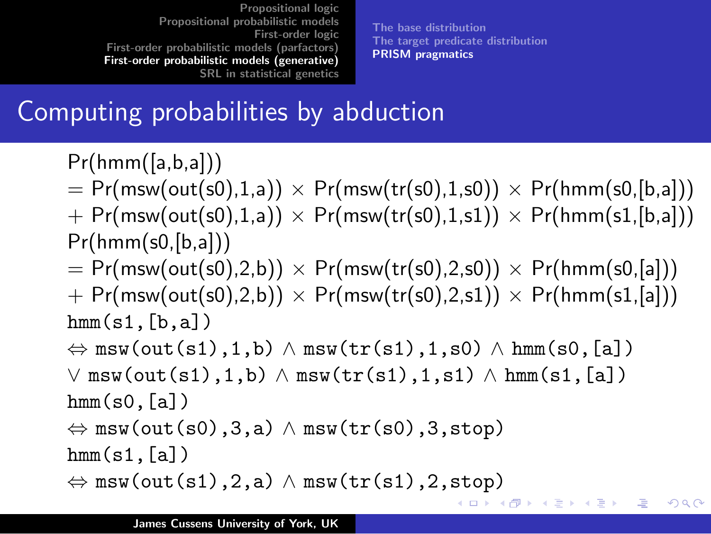[The base distribution](#page-27-0) [The target predicate distribution](#page-30-0) [PRISM pragmatics](#page-32-0)

メ都 トメミトメミト

 $-10<sup>-1</sup>$ 

注

つくい

#### Computing probabilities by abduction

 $Pr(hmm([a,b,a]))$ 

 $= Pr(msw(out(s0),1,a)) \times Pr(msw(tr(s0),1,s0)) \times Pr(hmm(s0,[b,a]))$  $+$  Pr(msw(out(s0),1,a))  $\times$  Pr(msw(tr(s0),1,s1))  $\times$  Pr(hmm(s1,[b,a]))

 $Pr(hmm(s0,[b,a]))$ 

- $= Pr(msw(out(s0),2,b)) \times Pr(msw(tr(s0),2,s0)) \times Pr(hmm(s0,[a]))$
- $+$  Pr(msw(out(s0),2,b))  $\times$  Pr(msw(tr(s0),2,s1))  $\times$  Pr(hmm(s1,[a]))  $hmm(s1,[b,a])$
- $\Leftrightarrow$  msw(out(s1),1,b)  $\land$  msw(tr(s1),1,s0)  $\land$  hmm(s0,[a])  $\vee$  msw(out(s1),1,b)  $\wedge$  msw(tr(s1),1,s1)  $\wedge$  hmm(s1,[a])

```
hmm(s0,[a])
```

```
\Leftrightarrow msw(out(s0),3,a) \land msw(tr(s0),3,stop)
```
 $hmm(s1,[a])$ 

```
\Leftrightarrow msw(out(s1),2,a) \land msw(tr(s1),2,stop)
```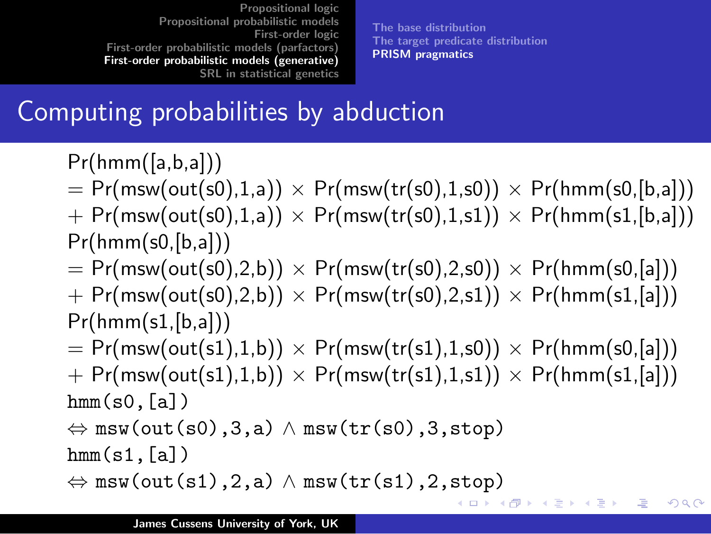[The base distribution](#page-27-0) [The target predicate distribution](#page-30-0) [PRISM pragmatics](#page-32-0)

メ都 トメミトメミト

4. 17. 18.

注

つくい

#### Computing probabilities by abduction

 $Pr(hmm([a,b,a]))$ 

 $= Pr(msw(out(s0),1,a)) \times Pr(msw(tr(s0),1,s0)) \times Pr(hmm(s0,[b,a]))$ 

- $+$  Pr(msw(out(s0),1,a))  $\times$  Pr(msw(tr(s0),1,s1))  $\times$  Pr(hmm(s1,[b,a]))  $Pr(hmm(s0,[b,a]))$
- $= Pr(msw(out(s0),2,b)) \times Pr(msw(tr(s0),2,s0)) \times Pr(hmm(s0,[a]))$
- $+$  Pr(msw(out(s0),2,b))  $\times$  Pr(msw(tr(s0),2,s1))  $\times$  Pr(hmm(s1,[a]))  $Pr(hmm(s1,[b,a]))$
- $= Pr(msw(out(s1),1,b)) \times Pr(msw(tr(s1),1,s0)) \times Pr(hmm(s0,[a]))$
- $+$  Pr(msw(out(s1),1,b))  $\times$  Pr(msw(tr(s1),1,s1))  $\times$  Pr(hmm(s1,[a]))  $hmm(s0,[a])$

```
\Leftrightarrow msw(out(s0),3,a) \land msw(tr(s0),3,stop)
```
 $hmm(s1,[a])$ 

```
\Leftrightarrow msw(out(s1),2,a) \land msw(tr(s1),2,stop)
```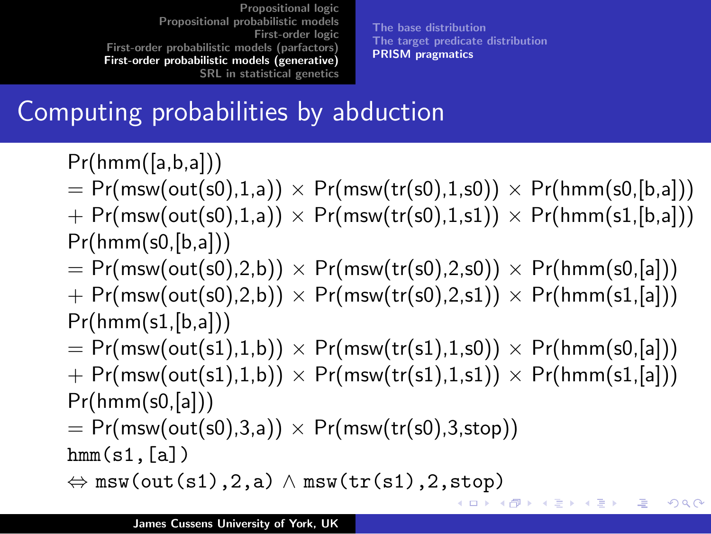[The base distribution](#page-27-0) [The target predicate distribution](#page-30-0) [PRISM pragmatics](#page-32-0)

哇

つくい

#### Computing probabilities by abduction

 $Pr(hmm([a,b,a]))$ 

- $= Pr(msw(out(s0),1,a)) \times Pr(msw(tr(s0),1,s0)) \times Pr(hmm(s0,[b,a]))$
- $+$  Pr(msw(out(s0),1,a))  $\times$  Pr(msw(tr(s0),1,s1))  $\times$  Pr(hmm(s1,[b,a]))  $Pr(hmm(s0,[b,a]))$
- $= Pr(msw(out(s0),2,b)) \times Pr(msw(tr(s0),2,s0)) \times Pr(hmm(s0,[a]))$
- $+$  Pr(msw(out(s0),2,b))  $\times$  Pr(msw(tr(s0),2,s1))  $\times$  Pr(hmm(s1,[a]))  $Pr(hmm(s1,[b,a]))$
- $= Pr(msw(out(s1),1,b)) \times Pr(msw(tr(s1),1,s0)) \times Pr(hmm(s0,[a]))$
- $+$  Pr(msw(out(s1),1,b))  $\times$  Pr(msw(tr(s1),1,s1))  $\times$  Pr(hmm(s1,[a]))  $Pr(hmm(s0,[a]))$
- $= Pr(msw(out(s0),3,a)) \times Pr(msw(tr(s0),3,stop))$

 $hmm(s1,[a])$ 

```
\Leftrightarrow msw(out(s1),2,a) \land msw(tr(s1),2,stop)
                                               イロメ イ御メ イヨメ イヨメー
```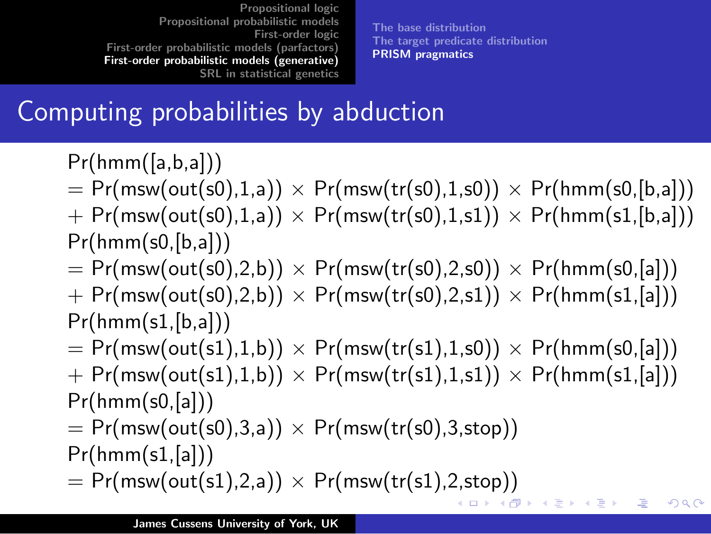[The base distribution](#page-27-0) [The target predicate distribution](#page-30-0) [PRISM pragmatics](#page-32-0)

 $\Omega$ 

#### Computing probabilities by abduction

 $Pr(hmm([a,b,a]))$ 

- $= Pr(msw(out(s0),1,a)) \times Pr(msw(tr(s0),1,s0)) \times Pr(hmm(s0,[b,a]))$
- $+$  Pr(msw(out(s0),1,a))  $\times$  Pr(msw(tr(s0),1,s1))  $\times$  Pr(hmm(s1,[b,a]))  $Pr(hmm(s0,[b,a]))$
- $= Pr(msw(out(s0),2,b)) \times Pr(msw(tr(s0),2,s0)) \times Pr(hmm(s0,[a]))$
- $+$  Pr(msw(out(s0),2,b))  $\times$  Pr(msw(tr(s0),2,s1))  $\times$  Pr(hmm(s1,[a]))  $Pr(hmm(s1,[b,a]))$
- $= Pr(msw(out(s1),1,b)) \times Pr(msw(tr(s1),1,s0)) \times Pr(hmm(s0,[a]))$
- $+$  Pr(msw(out(s1),1,b))  $\times$  Pr(msw(tr(s1),1,s1))  $\times$  Pr(hmm(s1,[a]))  $Pr(hmm(s0,[a]))$
- $= Pr(msw(out(s0),3,a)) \times Pr(msw(tr(s0),3,stop))$
- $Pr(hmm(s1,[a]))$
- $= Pr(msw(out(s1),2,a)) \times Pr(msw(tr(s1),2,stop))$ メ御き メミメ メミメー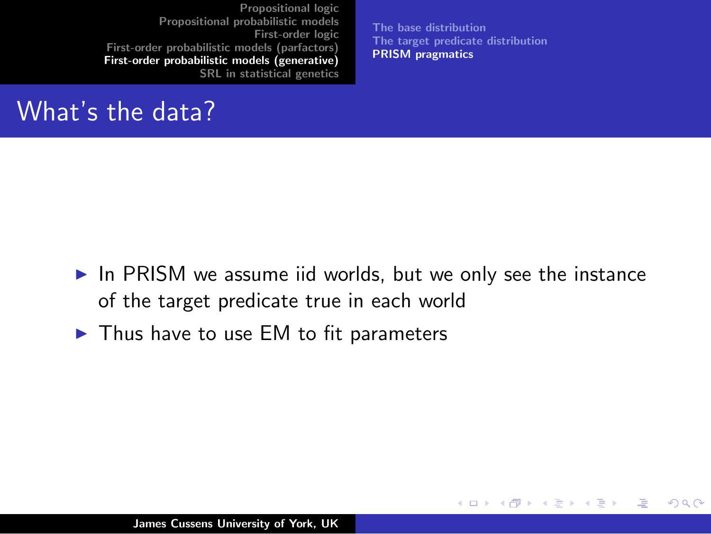What's the data?

[The base distribution](#page-27-0) [The target predicate distribution](#page-30-0) [PRISM pragmatics](#page-32-0)

K ロ ⊁ K 倒 ≯ K ミ ⊁ K ミ ⊁

 $2Q$ 

<span id="page-44-0"></span>哇

- $\triangleright$  In PRISM we assume iid worlds, but we only see the instance of the target predicate true in each world
- $\blacktriangleright$  Thus have to use EM to fit parameters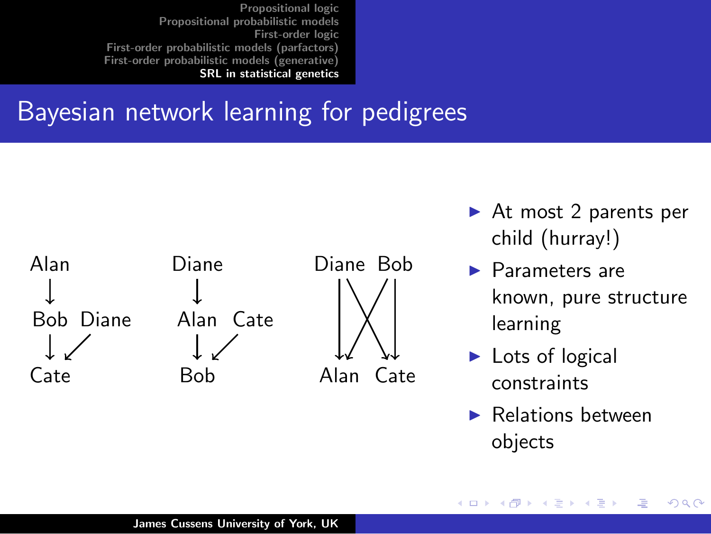#### Bayesian network learning for pedigrees



- $\triangleright$  At most 2 parents per child (hurray!)
- $\blacktriangleright$  Parameters are known, pure structure learning
- $\blacktriangleright$  Lots of logical constraints

**K ロ ト K 倒 ト K 走 ト** 

 $\blacktriangleright$  Relations between objects

<span id="page-45-0"></span>つへへ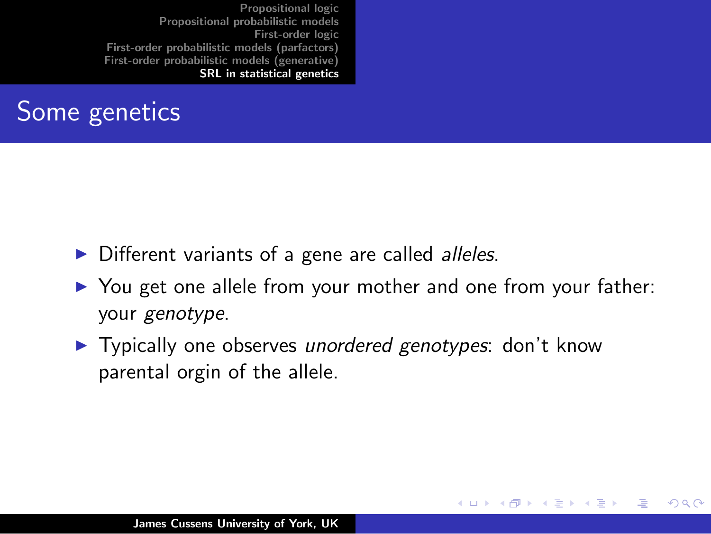#### Some genetics

- $\triangleright$  Different variants of a gene are called *alleles*.
- ▶ You get one allele from your mother and one from your father: your genotype.

K ロ ⊁ K 倒 ≯ K ミ ⊁ K ミ ⊁

つくい

 $\blacktriangleright$  Typically one observes unordered genotypes: don't know parental orgin of the allele.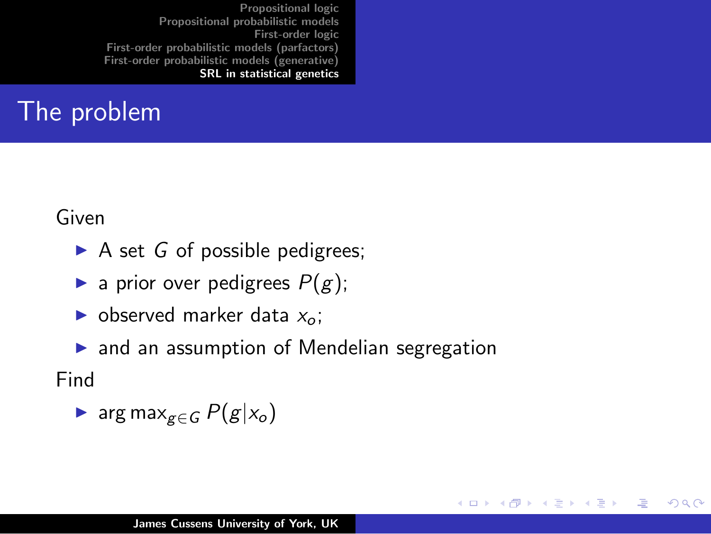#### The problem

Given

- $\triangleright$  A set G of possible pedigrees;
- **a** prior over pedigrees  $P(g)$ ;
- $\triangleright$  observed marker data  $x_0$ :
- $\triangleright$  and an assumption of Mendelian segregation

 $2Q$ 

**∢ ロ ▶ - ∢ @ ▶ - ∢ ミ** 

 $\sim$ 3 로

Find

$$
\blacktriangleright \ \arg\max_{g \in G} P(g|x_o)
$$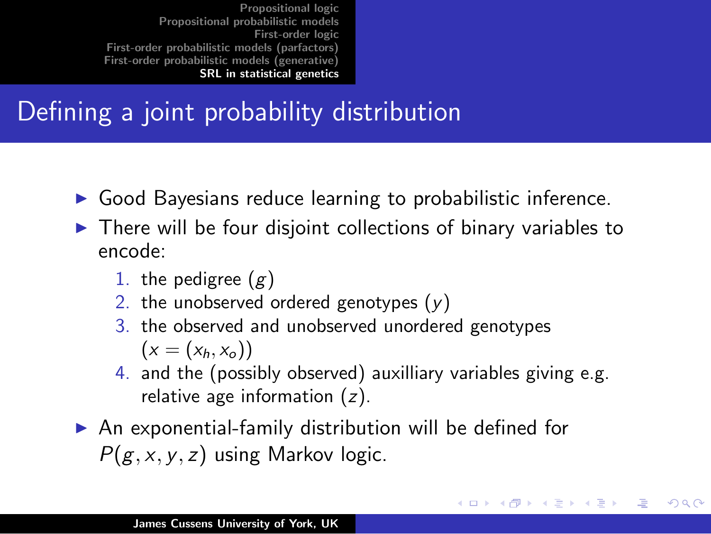### Defining a joint probability distribution

- $\triangleright$  Good Bayesians reduce learning to probabilistic inference.
- $\triangleright$  There will be four disjoint collections of binary variables to encode:
	- 1. the pedigree  $(g)$
	- 2. the unobserved ordered genotypes  $(y)$
	- 3. the observed and unobserved unordered genotypes  $(x = (x_h, x_o))$
	- 4. and the (possibly observed) auxilliary variables giving e.g. relative age information  $(z)$ .

メロメ メ御き メミメ メミメー

へのへ

 $\triangleright$  An exponential-family distribution will be defined for  $P(g, x, y, z)$  using Markov logic.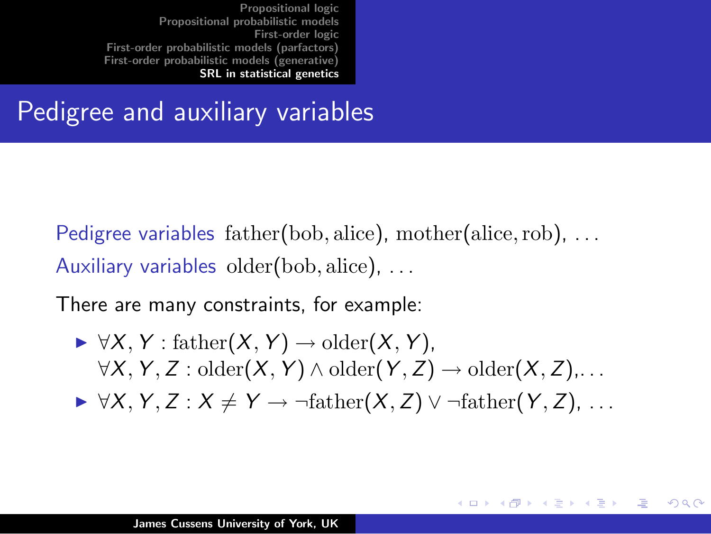Pedigree and auxiliary variables

Pedigree variables father(bob, alice), mother(alice, rob), ... Auxiliary variables older(bob, alice), ...

There are many constraints, for example:

- $\blacktriangleright \forall X, Y : \text{father}(X, Y) \rightarrow \text{older}(X, Y),$  $\forall X, Y, Z : \text{older}(X, Y) \land \text{older}(Y, Z) \rightarrow \text{older}(X, Z), \dots$
- $\triangleright \forall X, Y, Z : X \neq Y \rightarrow \neg \text{father}(X, Z) \vee \neg \text{father}(Y, Z), \dots$

メロメ メ団 メイ きょくきょう

へのへ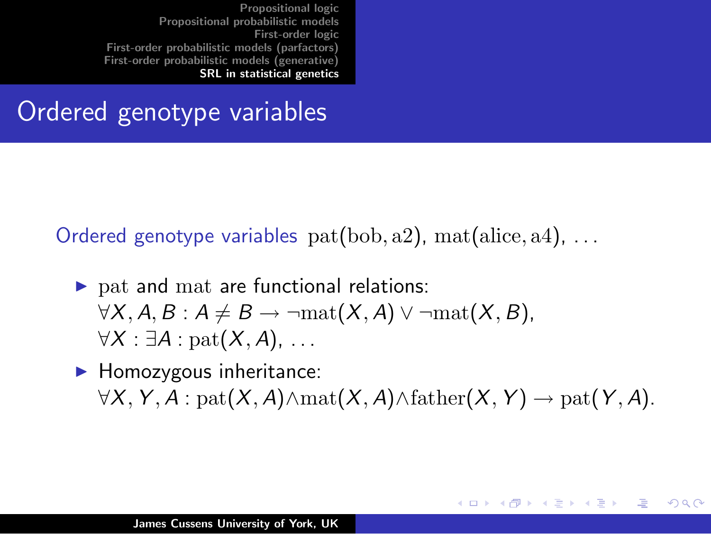#### Ordered genotype variables

Ordered genotype variables  $pat(bob, a2)$ ,  $mat(alice, a4)$ , ...

- $\triangleright$  pat and mat are functional relations:  $\forall X, A, B : A \neq B \rightarrow \neg mat(X, A) \vee \neg mat(X, B),$  $\forall X : \exists A : \text{pat}(X, A), \ldots$
- $\blacktriangleright$  Homozygous inheritance:  $\forall X, Y, A : \text{pat}(X, A) \land \text{mat}(X, A) \land \text{father}(X, Y) \rightarrow \text{pat}(Y, A).$

**K ロ メ イ団 メ ス ミ メ ス ミ メ** 

へのへ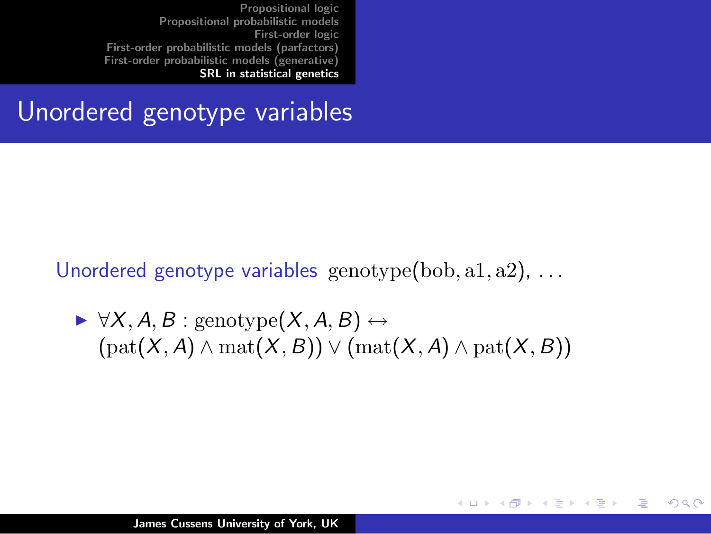#### Unordered genotype variables

Unordered genotype variables genotype(bob, a1, a2), ...

$$
\rightarrow \forall X, A, B : \text{genotype}(X, A, B) \leftrightarrow \\ (\text{pat}(X, A) \land \text{mat}(X, B)) \lor (\text{mat}(X, A) \land \text{pat}(X, B))
$$

メロメ メ御 メメ きょくきょう

哇

 $2Q$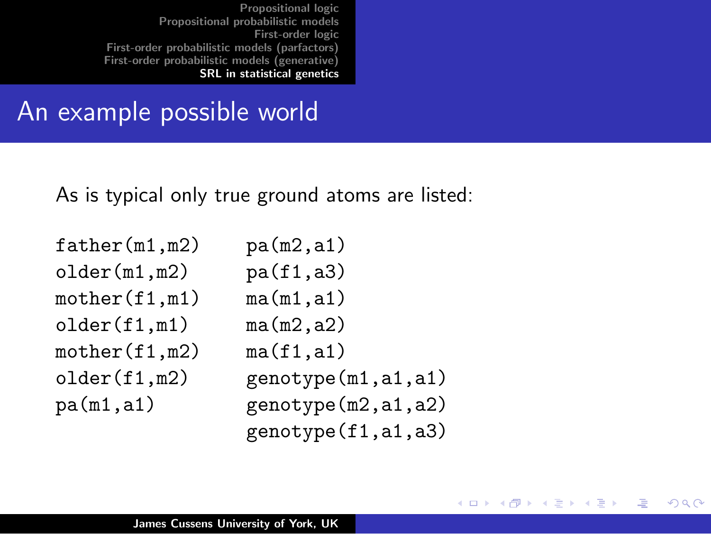#### An example possible world

As is typical only true ground atoms are listed:

| father(m1, m2) | pa(m2, a1)           |
|----------------|----------------------|
| older(m1,m2)   | pa(f1, a3)           |
| mother(f1,m1)  | ma(m1, a1)           |
| older(f1,m1)   | ma(m2, a2)           |
| mother(f1,m2)  | ma(f1, a1)           |
| older(f1,m2)   | genotype(m1,a1,a1)   |
| pa(m1, a1)     | genotype(m2, a1, a2) |
|                | genotype(f1,a1,a3)   |

K ロ ⊁ K 倒 ≯ K ミ ⊁ K ミ ⊁

哇

 $QQ$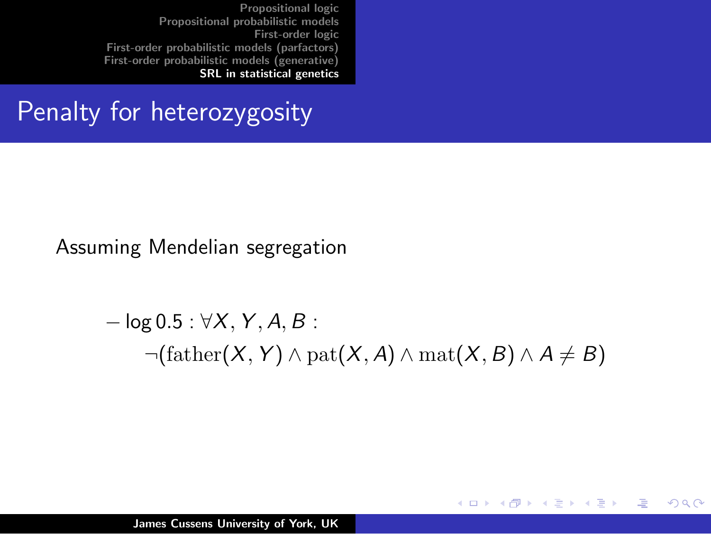#### Penalty for heterozygosity

Assuming Mendelian segregation

$$
-\log 0.5: \forall X, Y, A, B:
$$
  
 
$$
\neg(\text{father}(X, Y) \land \text{pat}(X, A) \land \text{mat}(X, B) \land A \neq B)
$$

K ロ ⊁ K 倒 ≯ K ミ ⊁ K ミ ⊁

唐

 $2Q$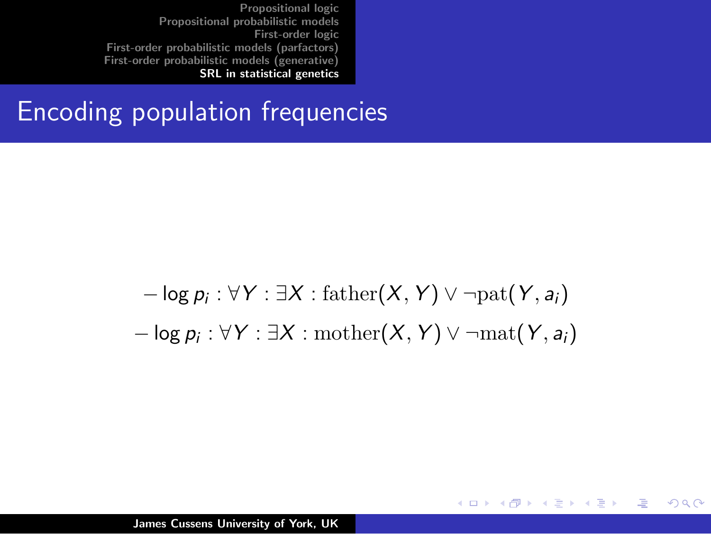#### Encoding population frequencies

$$
-\log p_i : \forall Y : \exists X : \mathrm{father}(X, Y) \vee \neg \mathrm{pat}(Y, a_i)
$$

$$
-\log p_i : \forall Y : \exists X : \mathrm{mother}(X, Y) \vee \neg \mathrm{mat}(Y, a_i)
$$

K ロ ⊁ K 倒 ≯ K ミ ⊁ K ミ ⊁

哇

 $2Q$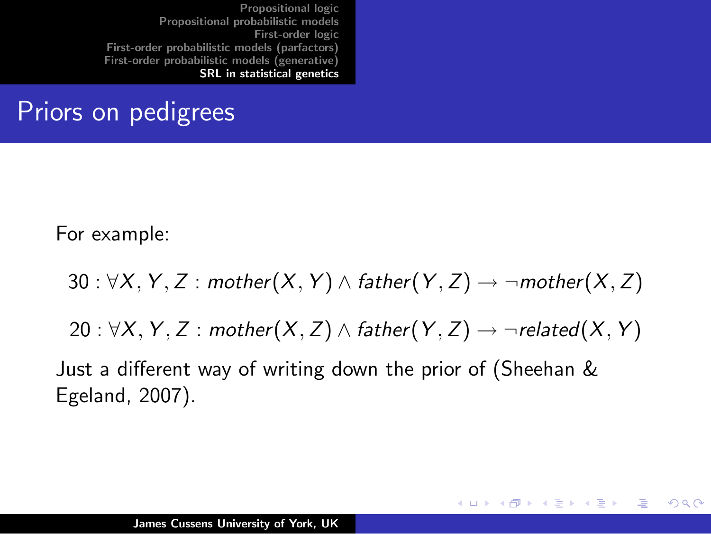#### Priors on pedigrees

For example:

30 :  $\forall X, Y, Z$  : mother $(X, Y) \wedge$  father $(Y, Z) \rightarrow \neg$  mother $(X, Z)$ 

20 :  $\forall X, Y, Z$  : mother $(X, Z) \wedge$  father $(Y, Z) \rightarrow \neg$ related $(X, Y)$ 

イロト イ団 トイ ミト イヨト

つくい

Just a different way of writing down the prior of (Sheehan & Egeland, 2007).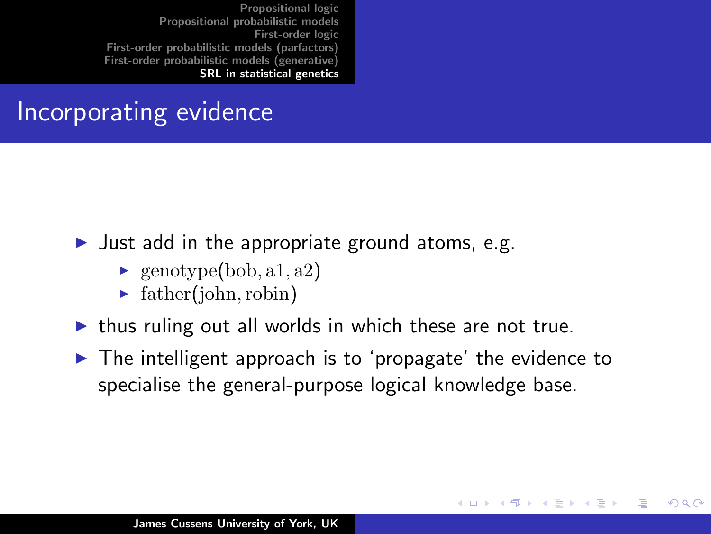#### Incorporating evidence

- I Just add in the appropriate ground atoms, e.g.
	- $\blacktriangleright$  genotype(bob, a1, a2)
	- $\blacktriangleright$  father(john, robin)
- $\blacktriangleright$  thus ruling out all worlds in which these are not true.
- $\blacktriangleright$  The intelligent approach is to 'propagate' the evidence to specialise the general-purpose logical knowledge base.

メロメ メ御 メメ ミメ メミメ

つくい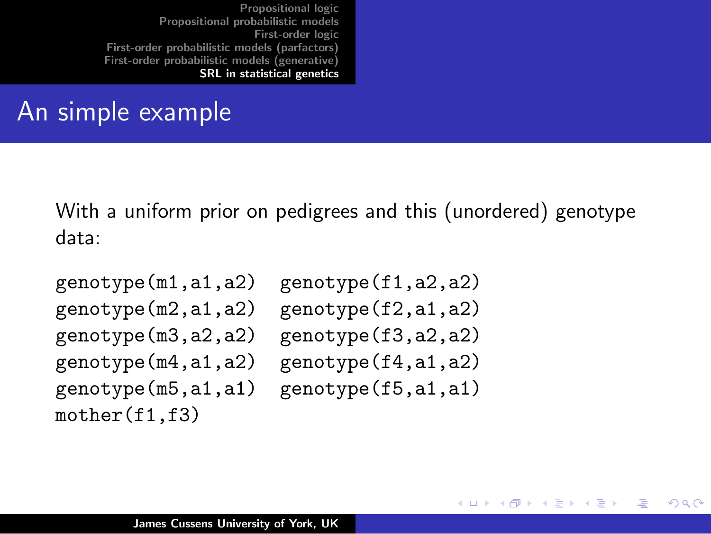#### An simple example

With a uniform prior on pedigrees and this (unordered) genotype data:

```
mother(f1,f3)
```
genotype(m1,a1,a2) genotype(f1,a2,a2) genotype(m2,a1,a2) genotype(f2,a1,a2) genotype(m3,a2,a2) genotype(f3,a2,a2) genotype(m4,a1,a2) genotype(f4,a1,a2) genotype(m5,a1,a1) genotype(f5,a1,a1)

K ロ ⊁ K 倒 ≯ K ミ ⊁ K ミ ⊁

<span id="page-57-0"></span>つくい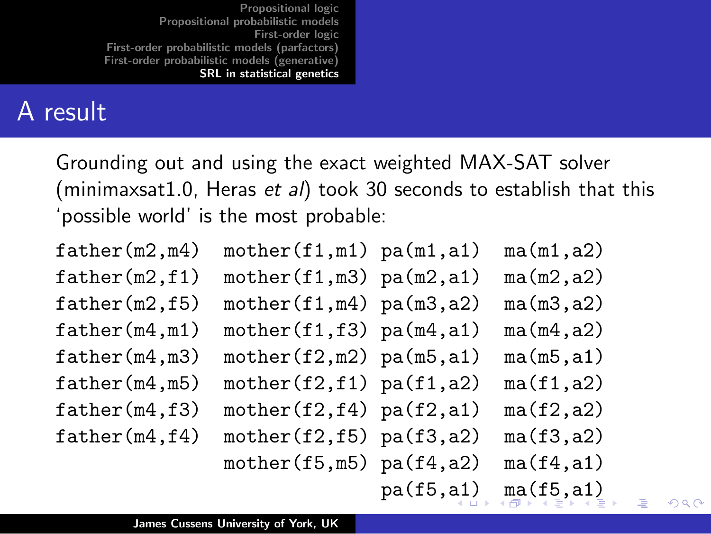#### A result

Grounding out and using the exact weighted MAX-SAT solver (minimaxsat1.0, Heras et al) took 30 seconds to establish that this 'possible world' is the most probable:

|            | ma(m1, a2)                                                                                                                                                                                                                                                                          |
|------------|-------------------------------------------------------------------------------------------------------------------------------------------------------------------------------------------------------------------------------------------------------------------------------------|
|            | ma(m2, a2)                                                                                                                                                                                                                                                                          |
|            | ma(m3, a2)                                                                                                                                                                                                                                                                          |
|            | ma(m4, a2)                                                                                                                                                                                                                                                                          |
|            | ma(m5, a1)                                                                                                                                                                                                                                                                          |
|            | ma(f1, a2)                                                                                                                                                                                                                                                                          |
|            | ma(f2, a2)                                                                                                                                                                                                                                                                          |
|            | ma(f3, a2)                                                                                                                                                                                                                                                                          |
|            | ma(f4, a1)                                                                                                                                                                                                                                                                          |
| pa(f5, a1) | ma(f5, a1)                                                                                                                                                                                                                                                                          |
|            | $mother(f1,m1)$ $pa(m1,a1)$<br>$mother(f1,m3)$ $pa(m2,a1)$<br>$mother(f1,m4)$ $pa(m3,a2)$<br>$mother(f1,f3)$ $pa(m4,a1)$<br>$mother(f2,m2)$ $pa(m5,a1)$<br>$mother(f2,f1)$ $pa(f1,a2)$<br>$mother(f2,f4)$ $pa(f2,a1)$<br>$mother(f2,f5)$ $pa(f3,a2)$<br>$mother(f5,m5)$ $pa(f4,a2)$ |

<span id="page-58-0"></span> $\Omega$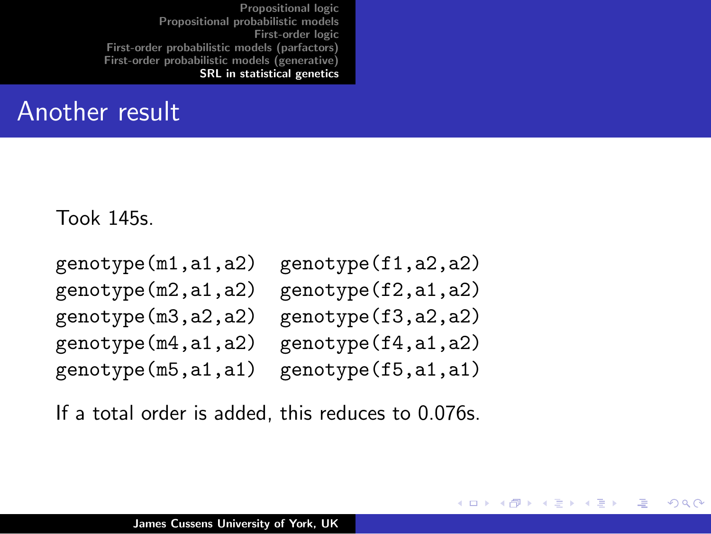#### Another result

Took 145s.

```
genotype(m1,a1,a2) genotype(f1,a2,a2)
genotype(m2,a1,a2) genotype(f2,a1,a2)
genotype(m3,a2,a2) genotype(f3,a2,a2)
genotype(m4,a1,a2) genotype(f4,a1,a2)
genotype(m5,a1,a1) genotype(f5,a1,a1)
```
メロメ メ御 メメ ミメメ ミメ

<span id="page-59-0"></span>つくい

If a total order is added, this reduces to 0.076s.